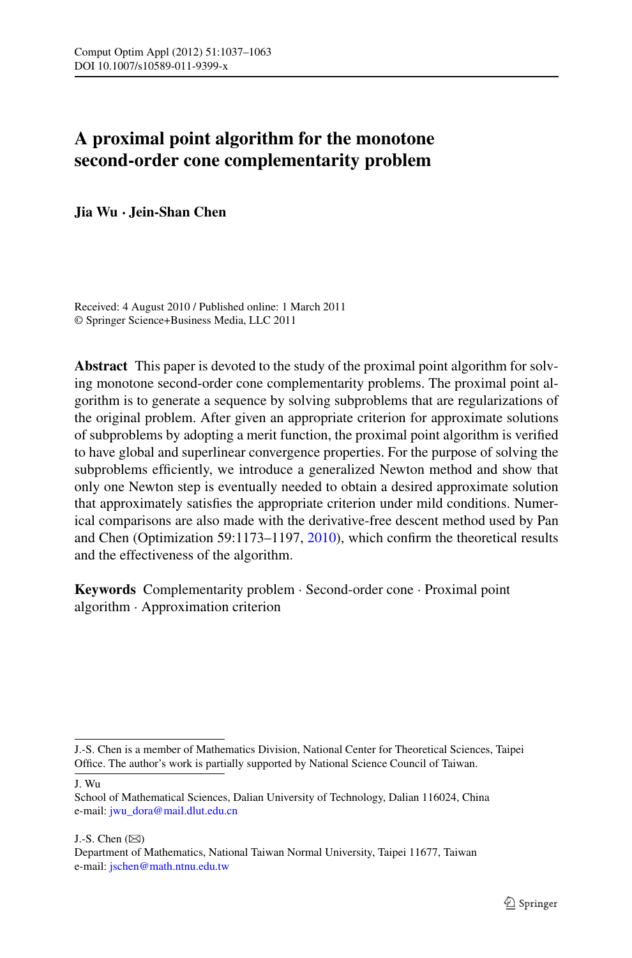# **A proximal point algorithm for the monotone second-order cone complementarity problem**

**Jia Wu · Jein-Shan Chen**

Received: 4 August 2010 / Published online: 1 March 2011 © Springer Science+Business Media, LLC 2011

**Abstract** This paper is devoted to the study of the proximal point algorithm for solving monotone second-order cone complementarity problems. The proximal point algorithm is to generate a sequence by solving subproblems that are regularizations of the original problem. After given an appropriate criterion for approximate solutions of subproblems by adopting a merit function, the proximal point algorithm is verified to have global and superlinear convergence properties. For the purpose of solving the subproblems efficiently, we introduce a generalized Newton method and show that only one Newton step is eventually needed to obtain a desired approximate solution that approximately satisfies the appropriate criterion under mild conditions. Numerical comparisons are also made with the derivative-free descent method used by Pan and Chen (Optimization 59:1173–1197, [2010\)](#page-26-0), which confirm the theoretical results and the effectiveness of the algorithm.

**Keywords** Complementarity problem · Second-order cone · Proximal point algorithm · Approximation criterion

J. Wu

J.-S. Chen  $(\boxtimes)$ 

J.-S. Chen is a member of Mathematics Division, National Center for Theoretical Sciences, Taipei Office. The author's work is partially supported by National Science Council of Taiwan.

School of Mathematical Sciences, Dalian University of Technology, Dalian 116024, China e-mail: [jwu\\_dora@mail.dlut.edu.cn](mailto:jwu_dora@mail.dlut.edu.cn)

Department of Mathematics, National Taiwan Normal University, Taipei 11677, Taiwan e-mail: [jschen@math.ntnu.edu.tw](mailto:jschen@math.ntnu.edu.tw)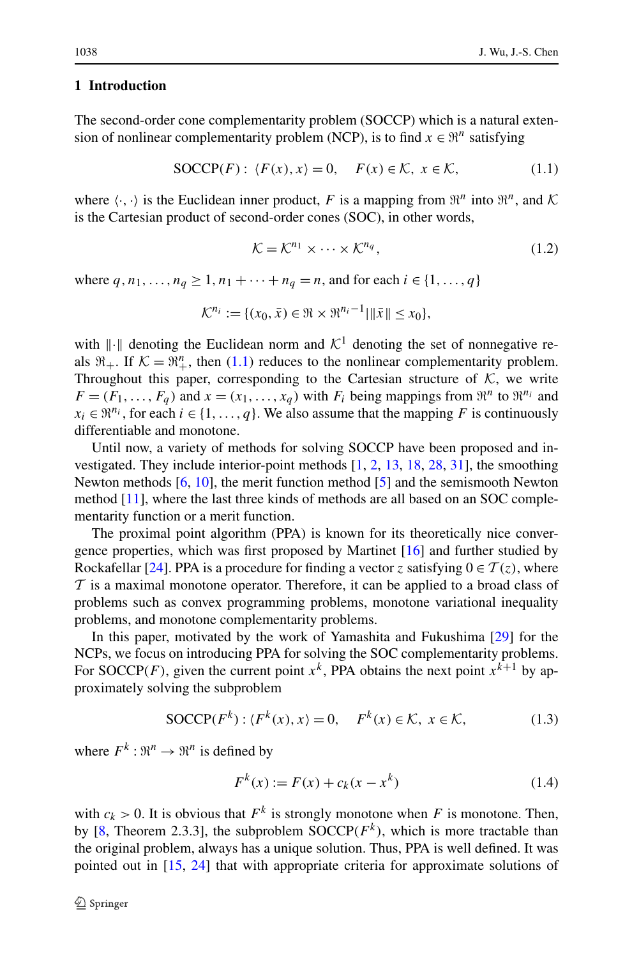#### <span id="page-1-2"></span>**1 Introduction**

The second-order cone complementarity problem (SOCCP) which is a natural extension of nonlinear complementarity problem (NCP), is to find  $x \in \mathbb{R}^n$  satisfying

$$
SOCCP(F): \langle F(x), x \rangle = 0, \quad F(x) \in \mathcal{K}, \ x \in \mathcal{K}, \tag{1.1}
$$

where  $\langle \cdot, \cdot \rangle$  is the Euclidean inner product, F is a mapping from  $\mathfrak{R}^n$  into  $\mathfrak{R}^n$ , and K is the Cartesian product of second-order cones (SOC), in other words,

<span id="page-1-0"></span>
$$
\mathcal{K} = \mathcal{K}^{n_1} \times \dots \times \mathcal{K}^{n_q},\tag{1.2}
$$

where  $q, n_1, ..., n_q \ge 1, n_1 + ... + n_q = n$ , and for each  $i \in \{1, ..., q\}$ 

$$
\mathcal{K}^{n_i} := \{ (x_0, \bar{x}) \in \Re \times \Re^{n_i - 1} | \|\bar{x}\| \le x_0 \},\
$$

with  $\|\cdot\|$  denoting the Euclidean norm and  $\mathcal{K}^1$  denoting the set of nonnegative reals  $\mathfrak{R}_+$ . If  $\mathcal{K} = \mathfrak{R}_+^n$ , then ([1.1](#page-1-0)) reduces to the nonlinear complementarity problem. Throughout this paper, corresponding to the Cartesian structure of  $K$ , we write  $F = (F_1, \ldots, F_a)$  and  $x = (x_1, \ldots, x_a)$  with  $F_i$  being mappings from  $\mathbb{R}^n$  to  $\mathbb{R}^{n_i}$  and  $x_i \in \mathbb{R}^{n_i}$ , for each  $i \in \{1, ..., q\}$ . We also assume that the mapping *F* is continuously differentiable and monotone.

Until now, a variety of methods for solving SOCCP have been proposed and investigated. They include interior-point methods [[1,](#page-25-0) [2,](#page-25-1) [13,](#page-26-1) [18,](#page-26-2) [28](#page-26-3), [31](#page-26-4)], the smoothing Newton methods [\[6](#page-26-5), [10](#page-26-6)], the merit function method [[5\]](#page-26-7) and the semismooth Newton method [[11](#page-26-8)], where the last three kinds of methods are all based on an SOC complementarity function or a merit function.

The proximal point algorithm (PPA) is known for its theoretically nice convergence properties, which was first proposed by Martinet [\[16](#page-26-9)] and further studied by Rockafellar [[24\]](#page-26-10). PPA is a procedure for finding a vector *z* satisfying  $0 \in \mathcal{T}(z)$ , where  $\mathcal T$  is a maximal monotone operator. Therefore, it can be applied to a broad class of problems such as convex programming problems, monotone variational inequality problems, and monotone complementarity problems.

In this paper, motivated by the work of Yamashita and Fukushima [\[29](#page-26-11)] for the NCPs, we focus on introducing PPA for solving the SOC complementarity problems. For SOCCP(F), given the current point  $x^k$ , PPA obtains the next point  $x^{k+1}$  by approximately solving the subproblem

$$
SOCCP(F^k): \langle F^k(x), x \rangle = 0, \quad F^k(x) \in \mathcal{K}, \ x \in \mathcal{K}, \tag{1.3}
$$

where  $F^k: \mathbb{R}^n \to \mathbb{R}^n$  is defined by

<span id="page-1-3"></span><span id="page-1-1"></span>
$$
F^{k}(x) := F(x) + c_{k}(x - x^{k})
$$
\n(1.4)

with  $c_k > 0$ . It is obvious that  $F^k$  is strongly monotone when F is monotone. Then, by [[8,](#page-26-12) Theorem 2.3.3], the subproblem  $\text{SOCCP}(F^k)$ , which is more tractable than the original problem, always has a unique solution. Thus, PPA is well defined. It was pointed out in [[15,](#page-26-13) [24](#page-26-10)] that with appropriate criteria for approximate solutions of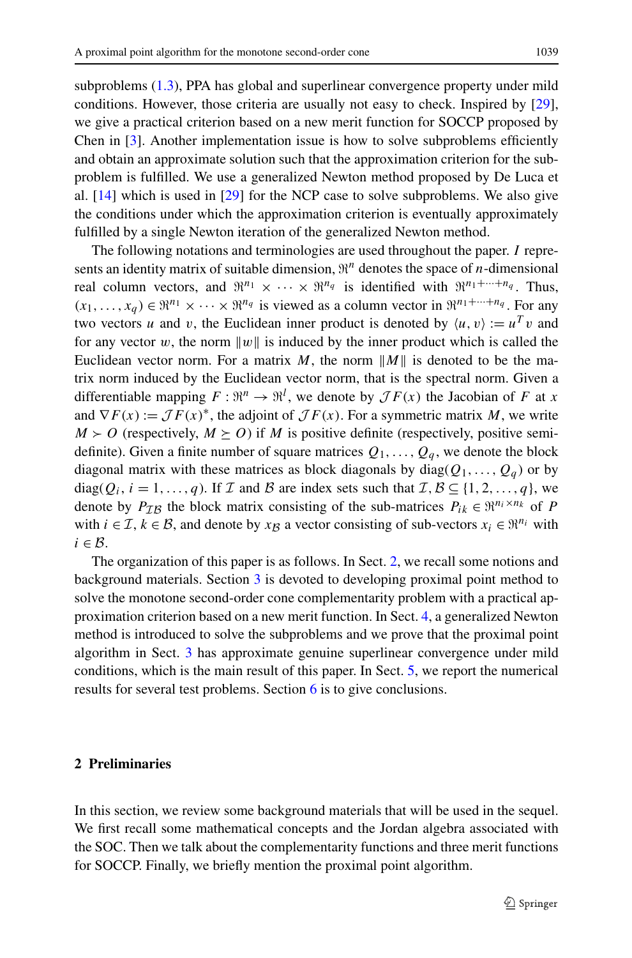subproblems ([1.3](#page-1-1)), PPA has global and superlinear convergence property under mild conditions. However, those criteria are usually not easy to check. Inspired by [[29\]](#page-26-11), we give a practical criterion based on a new merit function for SOCCP proposed by Chen in  $[3]$  $[3]$ . Another implementation issue is how to solve subproblems efficiently and obtain an approximate solution such that the approximation criterion for the subproblem is fulfilled. We use a generalized Newton method proposed by De Luca et al. [[14\]](#page-26-15) which is used in [[29\]](#page-26-11) for the NCP case to solve subproblems. We also give the conditions under which the approximation criterion is eventually approximately fulfilled by a single Newton iteration of the generalized Newton method.

The following notations and terminologies are used throughout the paper. *I* represents an identity matrix of suitable dimension,  $\mathbb{R}^n$  denotes the space of *n*-dimensional real column vectors, and  $\mathbb{R}^{n_1} \times \cdots \times \mathbb{R}^{n_q}$  is identified with  $\mathbb{R}^{n_1+\cdots+n_q}$ . Thus,  $(x_1, \ldots, x_q) \in \mathbb{R}^{n_1} \times \cdots \times \mathbb{R}^{n_q}$  is viewed as a column vector in  $\mathbb{R}^{n_1 + \cdots + n_q}$ . For any two vectors *u* and *v*, the Euclidean inner product is denoted by  $\langle u, v \rangle := u^T v$  and for any vector *w*, the norm  $||w||$  is induced by the inner product which is called the Euclidean vector norm. For a matrix M, the norm  $||M||$  is denoted to be the matrix norm induced by the Euclidean vector norm, that is the spectral norm. Given a differentiable mapping  $F: \mathbb{R}^n \to \mathbb{R}^l$ , we denote by  $\mathcal{J}F(x)$  the Jacobian of *F* at *x* and  $\nabla F(x) := \mathcal{J}F(x)^{*}$ , the adjoint of  $\mathcal{J}F(x)$ . For a symmetric matrix *M*, we write  $M \geq O$  (respectively,  $M \geq O$ ) if *M* is positive definite (respectively, positive semidefinite). Given a finite number of square matrices  $Q_1, \ldots, Q_a$ , we denote the block diagonal matrix with these matrices as block diagonals by diag( $Q_1, \ldots, Q_q$ ) or by diag( $Q_i$ ,  $i = 1, ..., q$ ). If  $\mathcal I$  and  $\mathcal B$  are index sets such that  $\mathcal I, \mathcal B \subseteq \{1, 2, ..., q\}$ , we denote by  $P_{IB}$  the block matrix consisting of the sub-matrices  $P_{ik} \in \mathbb{R}^{n_i \times n_k}$  of *P* with  $i \in \mathcal{I}, k \in \mathcal{B}$ , and denote by  $x_B$  a vector consisting of sub-vectors  $x_i \in \mathbb{R}^{n_i}$  with  $i \in \mathcal{B}$ .

<span id="page-2-0"></span>The organization of this paper is as follows. In Sect. [2](#page-2-0), we recall some notions and background materials. Section [3](#page-9-0) is devoted to developing proximal point method to solve the monotone second-order cone complementarity problem with a practical approximation criterion based on a new merit function. In Sect. [4](#page-12-0), a generalized Newton method is introduced to solve the subproblems and we prove that the proximal point algorithm in Sect. [3](#page-9-0) has approximate genuine superlinear convergence under mild conditions, which is the main result of this paper. In Sect. [5,](#page-23-0) we report the numerical results for several test problems. Section [6](#page-25-2) is to give conclusions.

# **2 Preliminaries**

In this section, we review some background materials that will be used in the sequel. We first recall some mathematical concepts and the Jordan algebra associated with the SOC. Then we talk about the complementarity functions and three merit functions for SOCCP. Finally, we briefly mention the proximal point algorithm.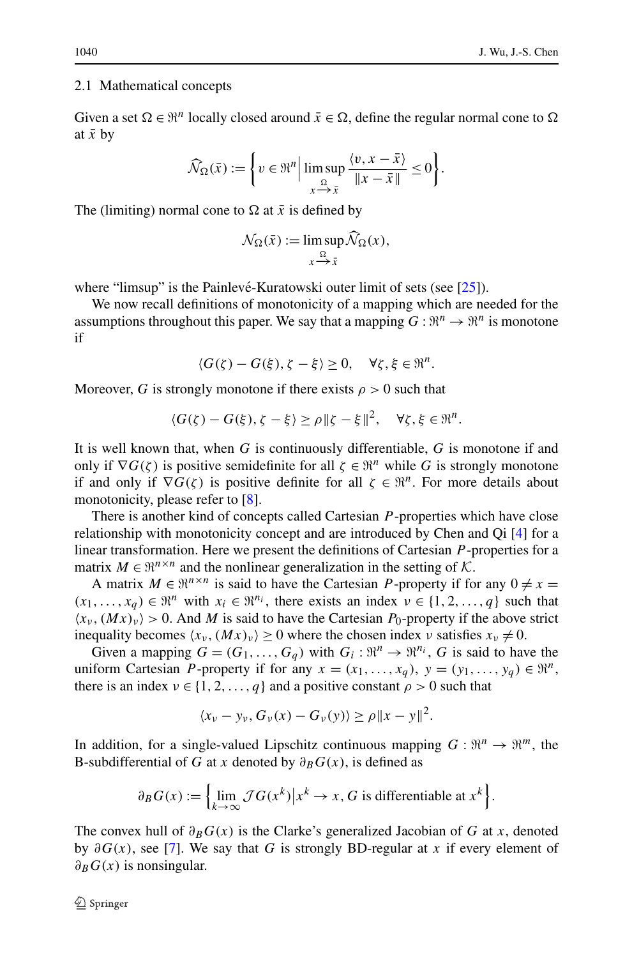#### 2.1 Mathematical concepts

Given a set  $\Omega \in \mathbb{R}^n$  locally closed around  $\bar{x} \in \Omega$ , define the regular normal cone to  $\Omega$ at  $\bar{x}$  by

$$
\widehat{\mathcal{N}}_{\Omega}(\bar{x}) := \left\{ v \in \mathfrak{R}^n \middle| \limsup_{x \to \bar{x}} \frac{\langle v, x - \bar{x} \rangle}{\Vert x - \bar{x} \Vert} \le 0 \right\}.
$$

The (limiting) normal cone to  $\Omega$  at  $\bar{x}$  is defined by

$$
\mathcal{N}_{\Omega}(\bar{x}) := \limsup_{x \to \bar{x}} \mathcal{N}_{\Omega}(x),
$$

where "limsup" is the Painlevé-Kuratowski outer limit of sets (see  $[25]$  $[25]$  $[25]$ ).

We now recall definitions of monotonicity of a mapping which are needed for the assumptions throughout this paper. We say that a mapping  $G : \mathbb{R}^n \to \mathbb{R}^n$  is monotone if

$$
\langle G(\zeta)-G(\xi), \zeta-\xi\rangle \geq 0, \quad \forall \zeta, \xi \in \mathbb{R}^n.
$$

Moreover, *G* is strongly monotone if there exists  $\rho > 0$  such that

$$
\langle G(\zeta) - G(\xi), \zeta - \xi \rangle \ge \rho \|\zeta - \xi\|^2, \quad \forall \zeta, \xi \in \mathbb{R}^n.
$$

It is well known that, when *G* is continuously differentiable, *G* is monotone if and only if  $\nabla G(\zeta)$  is positive semidefinite for all  $\zeta \in \mathbb{R}^n$  while *G* is strongly monotone if and only if  $\nabla G(\zeta)$  is positive definite for all  $\zeta \in \mathbb{R}^n$ . For more details about monotonicity, please refer to [[8](#page-26-12)].

There is another kind of concepts called Cartesian *P* -properties which have close relationship with monotonicity concept and are introduced by Chen and Qi [[4\]](#page-26-17) for a linear transformation. Here we present the definitions of Cartesian *P* -properties for a matrix  $M \in \mathbb{R}^{n \times n}$  and the nonlinear generalization in the setting of K.

A matrix  $M \in \mathbb{R}^{n \times n}$  is said to have the Cartesian *P*-property if for any  $0 \neq x =$  $(x_1, \ldots, x_a) \in \mathbb{R}^n$  with  $x_i \in \mathbb{R}^{n_i}$ , there exists an index  $v \in \{1, 2, \ldots, q\}$  such that  $\langle x_v, (Mx)_v \rangle > 0$ . And *M* is said to have the Cartesian *P*<sub>0</sub>-property if the above strict inequality becomes  $\langle x_v, (Mx)_v \rangle \ge 0$  where the chosen index *ν* satisfies  $x_v \ne 0$ .

Given a mapping  $G = (G_1, \ldots, G_a)$  with  $G_i : \mathbb{R}^n \to \mathbb{R}^{n_i}$ , G is said to have the uniform Cartesian *P*-property if for any  $x = (x_1, \ldots, x_q)$ ,  $y = (y_1, \ldots, y_q) \in \mathbb{R}^n$ , there is an index  $v \in \{1, 2, ..., q\}$  and a positive constant  $\rho > 0$  such that

$$
\langle x_{\nu} - y_{\nu}, G_{\nu}(x) - G_{\nu}(y) \rangle \ge \rho \|x - y\|^2.
$$

In addition, for a single-valued Lipschitz continuous mapping  $G : \mathbb{R}^n \to \mathbb{R}^m$ , the B-subdifferential of *G* at *x* denoted by  $\partial_B G(x)$ , is defined as

$$
\partial_B G(x) := \left\{ \lim_{k \to \infty} \mathcal{J}G(x^k) \big| x^k \to x, G \text{ is differentiable at } x^k \right\}.
$$

The convex hull of  $\partial_B G(x)$  is the Clarke's generalized Jacobian of G at x, denoted by *∂G(x)*, see [\[7](#page-26-18)]. We say that *G* is strongly BD-regular at *x* if every element of *∂BG(x)* is nonsingular.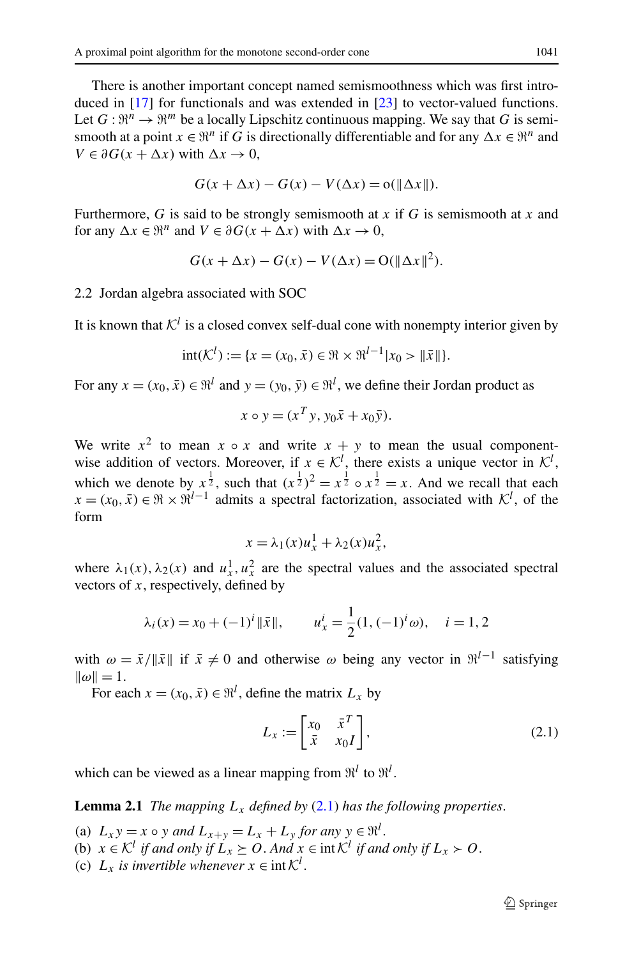There is another important concept named semismoothness which was first introduced in [[17\]](#page-26-19) for functionals and was extended in [\[23](#page-26-20)] to vector-valued functions. Let  $G: \mathbb{R}^n \to \mathbb{R}^m$  be a locally Lipschitz continuous mapping. We say that G is semismooth at a point  $x \in \mathbb{R}^n$  if *G* is directionally differentiable and for any  $\Delta x \in \mathbb{R}^n$  and  $V \in \partial G(x + \Delta x)$  with  $\Delta x \to 0$ ,

$$
G(x + \Delta x) - G(x) - V(\Delta x) = o(\|\Delta x\|).
$$

Furthermore, *G* is said to be strongly semismooth at *x* if *G* is semismooth at *x* and for any  $\Delta x \in \mathbb{R}^n$  and  $V \in \partial G(x + \Delta x)$  with  $\Delta x \to 0$ ,

$$
G(x + \Delta x) - G(x) - V(\Delta x) = O(||\Delta x||^2).
$$

#### 2.2 Jordan algebra associated with SOC

It is known that  $K^l$  is a closed convex self-dual cone with nonempty interior given by

$$
int(\mathcal{K}^l) := \{x = (x_0, \bar{x}) \in \Re \times \Re^{l-1} |x_0 > ||\bar{x}||\}.
$$

For any  $x = (x_0, \bar{x}) \in \mathbb{R}^l$  and  $y = (y_0, \bar{y}) \in \mathbb{R}^l$ , we define their Jordan product as

$$
x \circ y = (x^T y, y_0 \bar{x} + x_0 \bar{y}).
$$

We write  $x^2$  to mean  $x \circ x$  and write  $x + y$  to mean the usual componentwise addition of vectors. Moreover, if  $x \in \mathcal{K}^l$ , there exists a unique vector in  $\mathcal{K}^l$ , which we denote by  $x^{\frac{1}{2}}$ , such that  $(x^{\frac{1}{2}})^2 = x^{\frac{1}{2}} \circ x^{\frac{1}{2}} = x$ . And we recall that each  $x = (x_0, \bar{x}) \in \mathbb{R} \times \mathbb{R}^{l-1}$  admits a spectral factorization, associated with  $\mathcal{K}^l$ , of the form

<span id="page-4-0"></span>
$$
x = \lambda_1(x)u_x^1 + \lambda_2(x)u_x^2,
$$

where  $\lambda_1(x)$ ,  $\lambda_2(x)$  and  $u_x^1$ ,  $u_x^2$  are the spectral values and the associated spectral vectors of *x*, respectively, defined by

$$
\lambda_i(x) = x_0 + (-1)^i ||\bar{x}||,
$$
\n $u_x^i = \frac{1}{2}(1, (-1)^i \omega), \quad i = 1, 2$ 

<span id="page-4-1"></span>with  $\omega = \bar{x}/\|\bar{x}\|$  if  $\bar{x} \neq 0$  and otherwise  $\omega$  being any vector in  $\mathfrak{R}^{l-1}$  satisfying  $\|\omega\| = 1.$ 

For each  $x = (x_0, \bar{x}) \in \mathbb{R}^l$ , define the matrix  $L_x$  by

$$
L_x := \begin{bmatrix} x_0 & \bar{x}^T \\ \bar{x} & x_0 I \end{bmatrix},
$$
\n(2.1)

which can be viewed as a linear mapping from  $\mathfrak{R}^l$  to  $\mathfrak{R}^l$ .

**Lemma [2.1](#page-4-0)** *The mapping*  $L_x$  *defined by* (2.1) *has the following properties.* 

- (a)  $L_x y = x \circ y$  *and*  $L_{x+y} = L_x + L_y$  *for any*  $y \in \mathbb{R}^l$ .
- (b)  $x \in \mathcal{K}^l$  *if and only if*  $L_x \geq 0$ . And  $x \in \text{int } \mathcal{K}^l$  *if and only if*  $L_x > 0$ .
- (c)  $L_x$  *is invertible whenever*  $x \in \text{int } \mathcal{K}^l$ .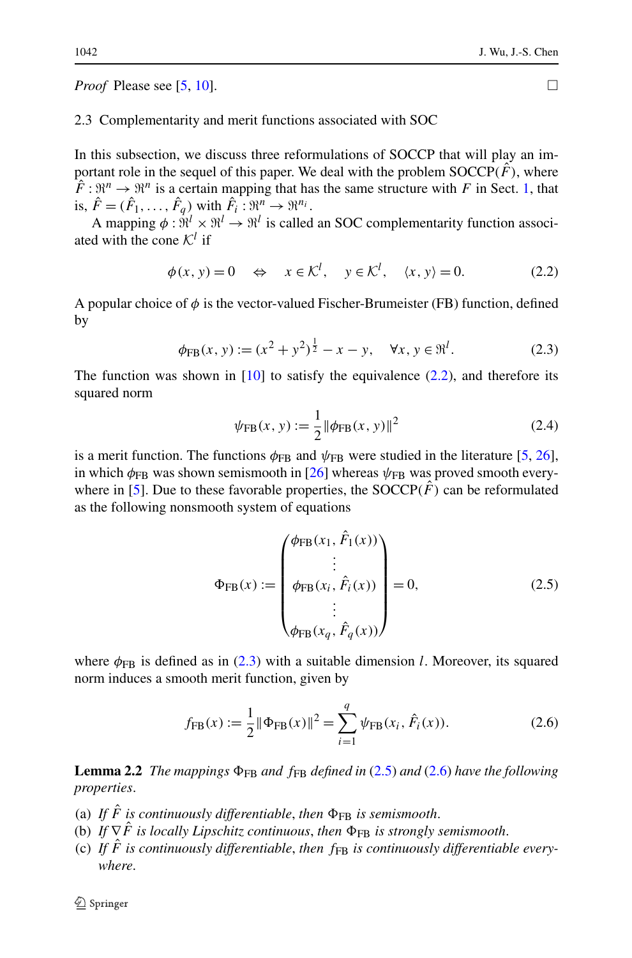*Proof* Please see [\[5](#page-26-7), [10](#page-26-6)].  $\Box$ 

## 2.3 Complementarity and merit functions associated with SOC

In this subsection, we discuss three reformulations of SOCCP that will play an important role in the sequel of this paper. We deal with the problem  $SOCCP(\tilde{F})$ , where  $\hat{F}: \Re^n \to \Re^n$  is a certain mapping that has the same structure with *F* in Sect. [1,](#page-1-2) that is,  $\hat{F} = (\hat{F}_1, \ldots, \hat{F}_q)$  with  $\hat{F}_i : \mathfrak{R}^n \to \mathfrak{R}^{n_i}$ .

A mapping  $\phi$ :  $\hat{\mathbb{R}}^l \times \mathbb{R}^l \to \mathbb{R}^l$  is called an SOC complementarity function associated with the cone  $K^l$  if

<span id="page-5-1"></span><span id="page-5-0"></span>
$$
\phi(x, y) = 0 \quad \Leftrightarrow \quad x \in \mathcal{K}^l, \quad y \in \mathcal{K}^l, \quad \langle x, y \rangle = 0. \tag{2.2}
$$

A popular choice of  $\phi$  is the vector-valued Fischer-Brumeister (FB) function, defined by

$$
\phi_{\text{FB}}(x, y) := (x^2 + y^2)^{\frac{1}{2}} - x - y, \quad \forall x, y \in \mathfrak{R}^l. \tag{2.3}
$$

The function was shown in  $[10]$  $[10]$  to satisfy the equivalence [\(2.2\)](#page-5-0), and therefore its squared norm

<span id="page-5-5"></span><span id="page-5-2"></span>
$$
\psi_{\text{FB}}(x, y) := \frac{1}{2} ||\phi_{\text{FB}}(x, y)||^2
$$
 (2.4)

is a merit function. The functions  $\phi_{FB}$  and  $\psi_{FB}$  were studied in the literature [[5,](#page-26-7) [26\]](#page-26-21), in which  $\phi_{FB}$  was shown semismooth in [\[26](#page-26-21)] whereas  $\psi_{FB}$  was proved smooth every-where in [[5\]](#page-26-7). Due to these favorable properties, the  $SOCCP(\hat{F})$  can be reformulated as the following nonsmooth system of equations

<span id="page-5-3"></span>
$$
\Phi_{\text{FB}}(x) := \begin{pmatrix} \phi_{\text{FB}}(x_1, \hat{F}_1(x)) \\ \vdots \\ \phi_{\text{FB}}(x_i, \hat{F}_i(x)) \\ \vdots \\ \phi_{\text{FB}}(x_q, \hat{F}_q(x)) \end{pmatrix} = 0, \quad (2.5)
$$

<span id="page-5-4"></span>where  $\phi_{FB}$  is defined as in ([2.3](#page-5-1)) with a suitable dimension *l*. Moreover, its squared norm induces a smooth merit function, given by

$$
f_{\rm FB}(x) := \frac{1}{2} \|\Phi_{\rm FB}(x)\|^2 = \sum_{i=1}^q \psi_{\rm FB}(x_i, \hat{F}_i(x)).
$$
 (2.6)

**Lemma 2.2** *The mappings*  $\Phi_{FB}$  *and*  $f_{FB}$  *defined in* [\(2.5\)](#page-5-2) *and* [\(2.6\)](#page-5-3) *have the following properties*.

- (a) If  $\hat{F}$  is continuously differentiable, then  $\Phi_{FB}$  is semismooth.
- (b) *If*  $\nabla \hat{F}$  *is locally Lipschitz continuous, then*  $\Phi_{FB}$  *is strongly semismooth.*
- (c) If  $\hat{F}$  is continuously differentiable, then  $f_{FR}$  is continuously differentiable every*where*.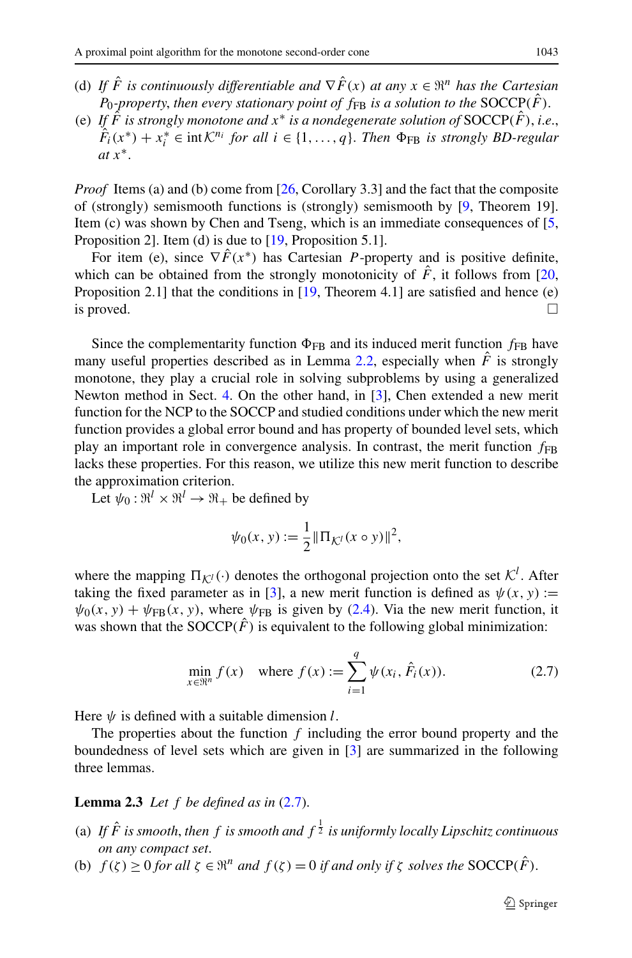- (d) *If*  $\hat{F}$  *is continuously differentiable and*  $\nabla \hat{F}(x)$  *at any*  $x \in \mathbb{R}^n$  *has the Cartesian P*<sub>0</sub>*-property*, *then every stationary point of*  $f_{FB}$  *is a solution to the* SOCCP $(\hat{F})$ .
- (e) If  $\hat{F}$  *is strongly monotone and*  $x^*$  *is a nondegenerate solution of* SOCCP( $\hat{F}$ ), *i.e.*,  $\hat{F}_i(x^*) + x_i^* \in \text{int } \mathcal{K}^{n_i} \text{ for all } i \in \{1, ..., q\}.$  *Then*  $\Phi_{FB}$  *is strongly BD-regular at x*∗.

*Proof* Items (a) and (b) come from [\[26](#page-26-21), Corollary 3.3] and the fact that the composite of (strongly) semismooth functions is (strongly) semismooth by [[9,](#page-26-22) Theorem 19]. Item (c) was shown by Chen and Tseng, which is an immediate consequences of [\[5](#page-26-7), Proposition 2]. Item (d) is due to [[19,](#page-26-23) Proposition 5.1].

For item (e), since  $\nabla \hat{F}(x^*)$  has Cartesian *P*-property and is positive definite, which can be obtained from the strongly monotonicity of  $\hat{F}$ , it follows from [\[20](#page-26-24), Proposition 2.1] that the conditions in  $[19,$  $[19,$  Theorem 4.1] are satisfied and hence (e) is proved.  $\Box$ 

Since the complementarity function  $\Phi_{FB}$  and its induced merit function  $f_{FB}$  have many useful properties described as in Lemma [2.2,](#page-5-4) especially when  $\hat{F}$  is strongly monotone, they play a crucial role in solving subproblems by using a generalized Newton method in Sect. [4.](#page-12-0) On the other hand, in [\[3](#page-26-14)], Chen extended a new merit function for the NCP to the SOCCP and studied conditions under which the new merit function provides a global error bound and has property of bounded level sets, which play an important role in convergence analysis. In contrast, the merit function  $f_{FB}$ lacks these properties. For this reason, we utilize this new merit function to describe the approximation criterion.

Let  $\psi_0$ :  $\mathbb{R}^l \times \mathbb{R}^l \to \mathbb{R}_+$  be defined by

<span id="page-6-0"></span>
$$
\psi_0(x, y) := \frac{1}{2} || \Pi_{\mathcal{K}^l}(x \circ y) ||^2,
$$

where the mapping  $\Pi_{\mathcal{K}^l}(\cdot)$  denotes the orthogonal projection onto the set  $\mathcal{K}^l$ . After taking the fixed parameter as in [[3\]](#page-26-14), a new merit function is defined as  $\psi(x, y) :=$  $\psi_0(x, y) + \psi_{FB}(x, y)$ , where  $\psi_{FB}$  is given by [\(2.4\)](#page-5-5). Via the new merit function, it was shown that the SOCCP $(\hat{F})$  is equivalent to the following global minimization:

$$
\min_{x \in \mathbb{R}^n} f(x) \quad \text{where } f(x) := \sum_{i=1}^q \psi(x_i, \hat{F}_i(x)). \tag{2.7}
$$

<span id="page-6-1"></span>Here  $\psi$  is defined with a suitable dimension *l*.

The properties about the function *f* including the error bound property and the boundedness of level sets which are given in [\[3](#page-26-14)] are summarized in the following three lemmas.

### **Lemma 2.3** *Let*  $f$  *be defined as in*  $(2.7)$ *.*

- (a) If  $\hat{F}$  is smooth, then f is smooth and  $f^{\frac{1}{2}}$  is uniformly locally Lipschitz continuous *on any compact set*.
- (b)  $f(\zeta) \ge 0$  *for all*  $\zeta \in \mathbb{R}^n$  *and*  $f(\zeta) = 0$  *if and only if*  $\zeta$  *solves the* SOCCP( $\hat{F}$ ).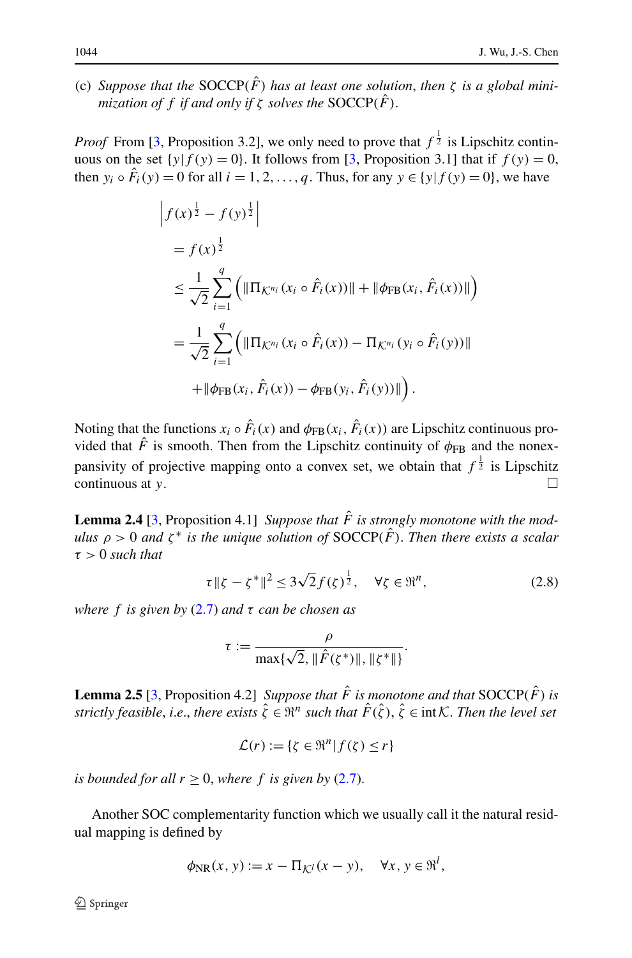(c) *Suppose that the SOCCP(* $\hat{F}$ *) has at least one solution, then*  $\zeta$  *is a global minimization of f if and only if*  $\zeta$  *solves the* SOCCP $(\hat{F})$ .

*Proof* From [[3,](#page-26-14) Proposition 3.2], we only need to prove that  $f^{\frac{1}{2}}$  is Lipschitz continuous on the set  $\{y | f(y) = 0\}$ . It follows from [[3,](#page-26-14) Proposition 3.1] that if  $f(y) = 0$ , then  $y_i \circ \hat{F}_i(y) = 0$  for all  $i = 1, 2, ..., q$ . Thus, for any  $y \in \{y | f(y) = 0\}$ , we have

$$
\begin{split}\n&\left|f(x)^{\frac{1}{2}} - f(y)^{\frac{1}{2}}\right| \\
&= f(x)^{\frac{1}{2}} \\
&\leq \frac{1}{\sqrt{2}} \sum_{i=1}^{q} \left( \|\Pi_{\mathcal{K}^{n_i}}(x_i \circ \hat{F}_i(x))\| + \|\phi_{\text{FB}}(x_i, \hat{F}_i(x))\| \right) \\
&= \frac{1}{\sqrt{2}} \sum_{i=1}^{q} \left( \|\Pi_{\mathcal{K}^{n_i}}(x_i \circ \hat{F}_i(x)) - \Pi_{\mathcal{K}^{n_i}}(y_i \circ \hat{F}_i(y))\| \right. \\
&\left. + \|\phi_{\text{FB}}(x_i, \hat{F}_i(x)) - \phi_{\text{FB}}(y_i, \hat{F}_i(y))\| \right).\n\end{split}
$$

<span id="page-7-0"></span>Noting that the functions  $x_i \circ \hat{F}_i(x)$  and  $\phi_{FB}(x_i, \hat{F}_i(x))$  are Lipschitz continuous provided that  $\hat{F}$  is smooth. Then from the Lipschitz continuity of  $\phi_{FB}$  and the nonexpansivity of projective mapping onto a convex set, we obtain that  $f^{\frac{1}{2}}$  is Lipschitz continuous at *y*. -

**Lemma 2.4** [\[3](#page-26-14), Proposition 4.1] *Suppose that*  $\hat{F}$  *is strongly monotone with the modulus*  $\rho > 0$  *and*  $\zeta^*$  *is the unique solution of* SOCCP( $\hat{F}$ ). Then there exists a scalar *τ >* 0 *such that*

<span id="page-7-1"></span>
$$
\tau \|\zeta - \zeta^*\|^2 \le 3\sqrt{2}f(\zeta)^{\frac{1}{2}}, \quad \forall \zeta \in \mathbb{R}^n,
$$
\n(2.8)

*where f is given by* [\(2.7](#page-6-0)) *and τ can be chosen as*

$$
\tau := \frac{\rho}{\max\{\sqrt{2}, \|\hat{F}(\zeta^*)\|, \|\zeta^*\|\}}.
$$

**Lemma 2.5** [[3,](#page-26-14) Proposition 4.2] *Suppose that*  $\hat{F}$  *is monotone and that* SOCCP $(\hat{F})$  *is strictly feasible, i.e., there exists*  $\hat{\zeta} \in \mathbb{R}^n$  *such that*  $\hat{F}(\hat{\zeta})$ ,  $\hat{\zeta} \in \text{int } \mathcal{K}$ . Then the level set

$$
\mathcal{L}(r) := \{ \zeta \in \Re^n | f(\zeta) \le r \}
$$

*is bounded for all*  $r \geq 0$ , *where*  $f$  *is given by* ([2.7](#page-6-0)).

Another SOC complementarity function which we usually call it the natural residual mapping is defined by

$$
\phi_{\rm NR}(x,\,y) := x - \Pi_{\mathcal{K}^l}(x - y), \quad \forall x,\, y \in \mathfrak{R}^l,
$$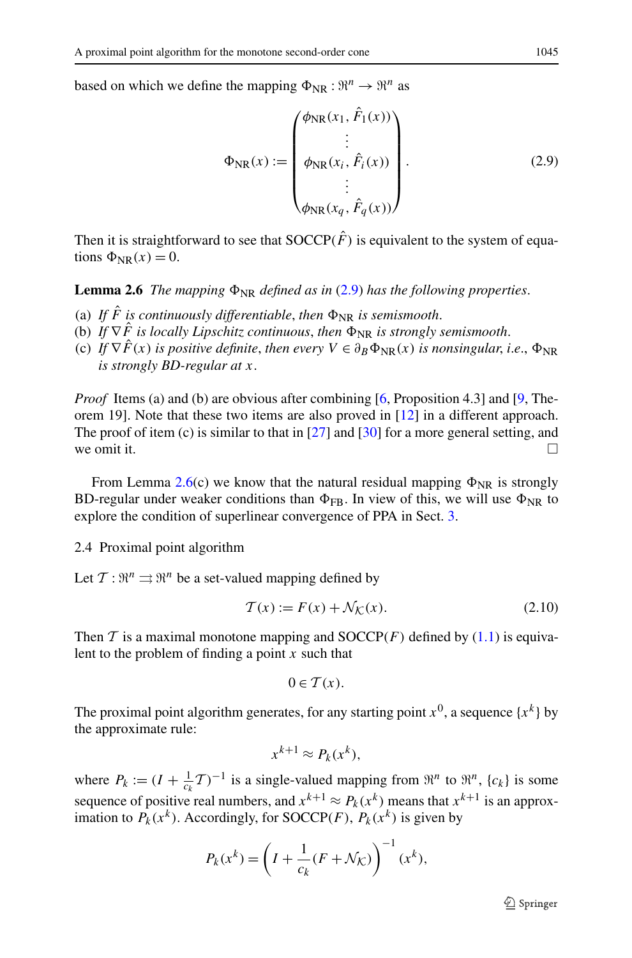<span id="page-8-1"></span>based on which we define the mapping  $\Phi_{NR} : \mathbb{R}^n \to \mathbb{R}^n$  as

<span id="page-8-0"></span>
$$
\Phi_{\text{NR}}(x) := \begin{pmatrix} \phi_{\text{NR}}(x_1, \hat{F}_1(x)) \\ \vdots \\ \phi_{\text{NR}}(x_i, \hat{F}_i(x)) \\ \vdots \\ \phi_{\text{NR}}(x_q, \hat{F}_q(x)) \end{pmatrix} .
$$
 (2.9)

Then it is straightforward to see that  $SOCCP(\hat{F})$  is equivalent to the system of equations  $\Phi_{\text{NR}}(x) = 0$ .

**Lemma 2.6** *The mapping*  $\Phi_{NR}$  *defined as in* ([2.9](#page-8-0)) *has the following properties.* 

- (a) If  $\hat{F}$  is continuously differentiable, then  $\Phi_{NR}$  is semismooth.
- (b) *If*  $\nabla \hat{F}$  *is locally Lipschitz continuous, then*  $\Phi_{NR}$  *is strongly semismooth.*
- (c) If  $\nabla \hat{F}(x)$  is positive definite, then every  $V \in \partial_B \Phi_{NR}(x)$  is nonsingular, *i.e.*,  $\Phi_{NR}$ *is strongly BD-regular at x*.

*Proof* Items (a) and (b) are obvious after combining [\[6](#page-26-5), Proposition 4.3] and [\[9,](#page-26-22) Theorem 19]. Note that these two items are also proved in [\[12](#page-26-25)] in a different approach. The proof of item (c) is similar to that in [[27\]](#page-26-26) and [\[30](#page-26-27)] for a more general setting, and we omit it.  $\Box$ 

From Lemma [2.6](#page-8-1)(c) we know that the natural residual mapping  $\Phi_{NR}$  is strongly BD-regular under weaker conditions than  $\Phi_{FR}$ . In view of this, we will use  $\Phi_{NR}$  to explore the condition of superlinear convergence of PPA in Sect. [3](#page-9-0).

2.4 Proximal point algorithm

Let  $\mathcal{T} : \mathbb{R}^n \rightrightarrows \mathbb{R}^n$  be a set-valued mapping defined by

<span id="page-8-2"></span>
$$
\mathcal{T}(x) := F(x) + \mathcal{N}\mathcal{K}(x). \tag{2.10}
$$

Then  $T$  is a maximal monotone mapping and  $SOCCP(F)$  defined by ([1.1](#page-1-0)) is equivalent to the problem of finding a point *x* such that

$$
0\in \mathcal{T}(x).
$$

The proximal point algorithm generates, for any starting point  $x^0$ , a sequence  $\{x^k\}$  by the approximate rule:

$$
x^{k+1} \approx P_k(x^k),
$$

where  $P_k := (I + \frac{1}{c_k}T)^{-1}$  is a single-valued mapping from  $\mathfrak{R}^n$  to  $\mathfrak{R}^n$ ,  $\{c_k\}$  is some sequence of positive real numbers, and  $x^{k+1} \approx P_k(x^k)$  means that  $x^{k+1}$  is an approximation to  $P_k(x^k)$ . Accordingly, for SOCCP(F),  $P_k(x^k)$  is given by

$$
P_k(x^k) = \left(I + \frac{1}{c_k}(F + \mathcal{N}_k)\right)^{-1}(x^k),
$$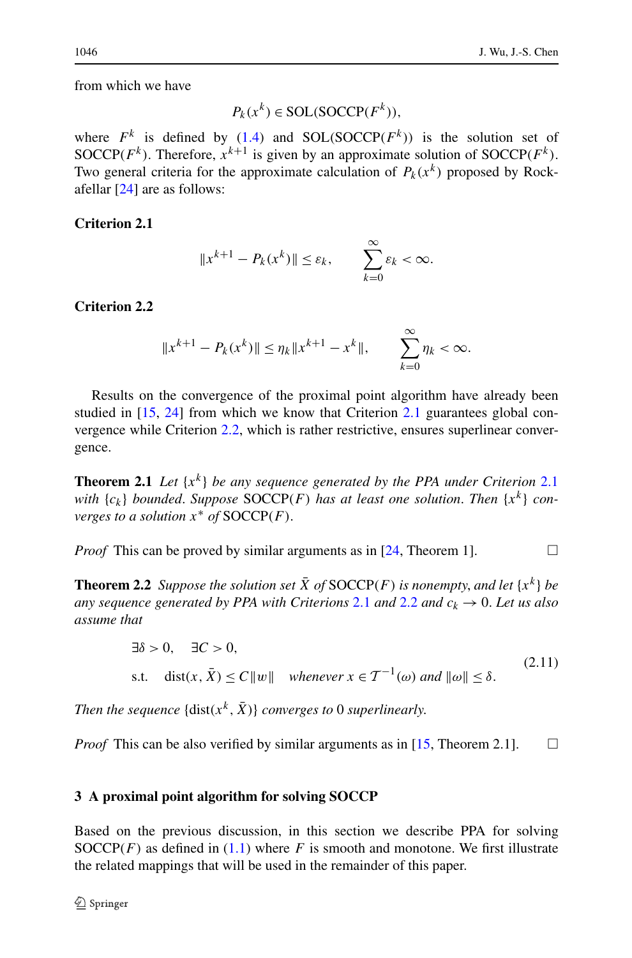<span id="page-9-1"></span>from which we have

$$
P_k(x^k) \in SOL(SOCCP(F^k)),
$$

<span id="page-9-2"></span>where  $F^k$  is defined by [\(1.4](#page-1-3)) and SOL(SOCCP( $F^k$ )) is the solution set of SOCCP( $F^k$ ). Therefore,  $x^{k+1}$  is given by an approximate solution of SOCCP( $F^k$ ). Two general criteria for the approximate calculation of  $P_k(x^k)$  proposed by Rockafellar [\[24](#page-26-10)] are as follows:

# **Criterion 2.1**

$$
||x^{k+1} - P_k(x^k)|| \le \varepsilon_k, \qquad \sum_{k=0}^{\infty} \varepsilon_k < \infty.
$$

## <span id="page-9-3"></span>**Criterion 2.2**

$$
||x^{k+1} - P_k(x^k)|| \le \eta_k ||x^{k+1} - x^k||, \qquad \sum_{k=0}^{\infty} \eta_k < \infty.
$$

Results on the convergence of the proximal point algorithm have already been studied in [[15,](#page-26-13) [24\]](#page-26-10) from which we know that Criterion [2.1](#page-9-1) guarantees global convergence while Criterion [2.2](#page-9-2), which is rather restrictive, ensures superlinear convergence.

<span id="page-9-5"></span>**Theorem [2.1](#page-9-1)** Let  $\{x^k\}$  be any sequence generated by the PPA under Criterion 2.1 *with*  ${c_k}$  *bounded. Suppose* SOCCP(*F*) *has at least one solution. Then*  ${x^k}$  *converges to a solution*  $x^*$  *of*  $SOCCP(F)$ .

*Proof* This can be proved by similar arguments as in  $[24,$  $[24,$  Theorem 1].

**Theorem 2.2** *Suppose the solution set*  $\bar{X}$  *of* SOCCP(*F*) *is nonempty, and let*  $\{x^k\}$  *be any sequence generated by PPA with Criterions* [2.1](#page-9-1) *and* [2.2](#page-9-2) *and*  $c_k \rightarrow 0$ . Let us also *assume that*

<span id="page-9-4"></span>
$$
\exists \delta > 0, \quad \exists C > 0,
$$
  
s.t.  $\text{dist}(x, \bar{X}) \le C ||w|| \quad \text{whenever } x \in \mathcal{T}^{-1}(\omega) \text{ and } ||\omega|| \le \delta.$  (2.11)

<span id="page-9-0"></span>*Then the sequence*  $\{dist(x^k, \bar{X})\}$  *converges to* 0 *superlinearly.* 

*Proof* This can be also verified by similar arguments as in [[15,](#page-26-13) Theorem 2.1].  $\Box$ 

## **3 A proximal point algorithm for solving SOCCP**

Based on the previous discussion, in this section we describe PPA for solving SOCCP $(F)$  as defined in  $(1.1)$  $(1.1)$  $(1.1)$  where  $F$  is smooth and monotone. We first illustrate the related mappings that will be used in the remainder of this paper.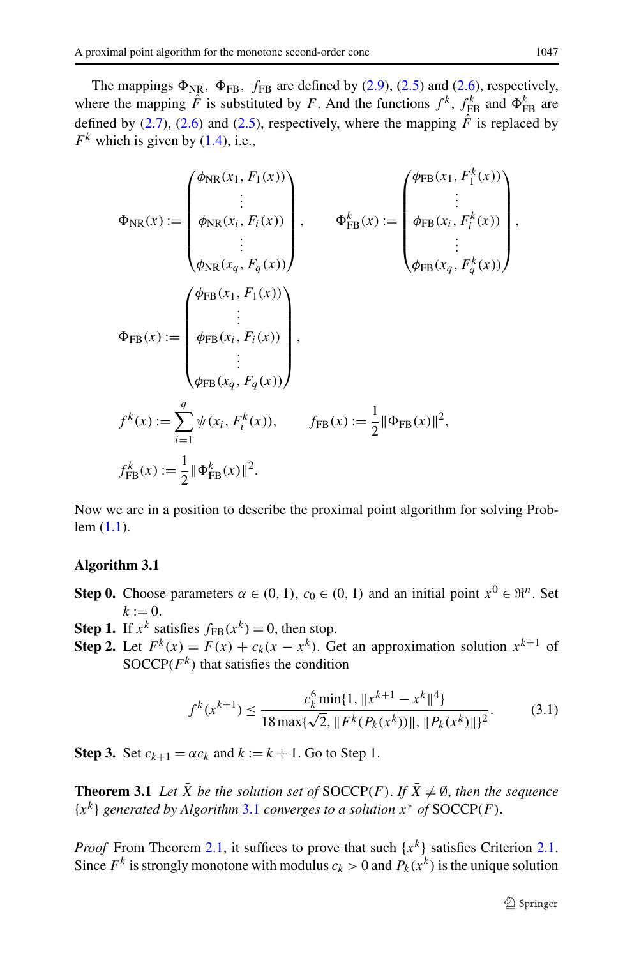The mappings  $\Phi_{\text{NR}}$ ,  $\Phi_{\text{FB}}$ ,  $f_{\text{FB}}$  are defined by [\(2.9\)](#page-8-0), [\(2.5\)](#page-5-2) and [\(2.6\)](#page-5-3), respectively, where the mapping  $\hat{F}$  is substituted by *F*. And the functions  $f^k$ ,  $f^k_{\text{FB}}$  and  $\Phi^k_{\text{FB}}$  are defined by ([2.7](#page-6-0)), ([2.6](#page-5-3)) and [\(2.5\)](#page-5-2), respectively, where the mapping  $\hat{F}$  is replaced by  $F^k$  which is given by [\(1.4\)](#page-1-3), i.e.,

$$
\Phi_{NR}(x) := \begin{pmatrix} \phi_{NR}(x_1, F_1(x)) \\ \vdots \\ \phi_{NR}(x_i, F_i(x)) \\ \vdots \\ \phi_{NR}(x_q, F_q(x)) \end{pmatrix}, \qquad \Phi_{FB}^k(x) := \begin{pmatrix} \phi_{FB}(x_1, F_1^k(x)) \\ \vdots \\ \phi_{FB}(x_i, F_i^k(x)) \\ \vdots \\ \phi_{FB}(x_q, F_q^k(x)) \end{pmatrix},
$$
\n
$$
\Phi_{FB}(x) := \begin{pmatrix} \phi_{FB}(x_1, F_1(x)) \\ \vdots \\ \phi_{FB}(x_i, F_i(x)) \\ \vdots \\ \phi_{FB}(x_q, F_q(x)) \end{pmatrix},
$$
\n
$$
f^k(x) := \sum_{i=1}^q \psi(x_i, F_i^k(x)), \qquad f_{FB}(x) := \frac{1}{2} || \Phi_{FB}(x) ||^2,
$$
\n
$$
f_{FB}^k(x) := \frac{1}{2} || \Phi_{FB}^k(x) ||^2.
$$

<span id="page-10-0"></span>Now we are in a position to describe the proximal point algorithm for solving Problem ([1.1](#page-1-0)).

## **Algorithm 3.1**

- **Step 0.** Choose parameters  $\alpha \in (0, 1)$ ,  $c_0 \in (0, 1)$  and an initial point  $x^0 \in \mathbb{R}^n$ . Set  $k := 0$ .
- **Step 1.** If  $x^k$  satisfies  $f_{FB}(x^k) = 0$ , then stop.
- <span id="page-10-2"></span>**Step 2.** Let  $F^k(x) = F(x) + c_k(x - x^k)$ . Get an approximation solution  $x^{k+1}$  of SOCCP $(F^k)$  that satisfies the condition

<span id="page-10-1"></span>
$$
f^{k}(x^{k+1}) \le \frac{c_{k}^{6} \min\{1, \|x^{k+1} - x^{k}\|^{4}\}}{18 \max\{\sqrt{2}, \|F^{k}(P_{k}(x^{k}))\|, \|P_{k}(x^{k})\|\}^{2}}.
$$
(3.1)

**Step 3.** Set  $c_{k+1} = \alpha c_k$  and  $k := k + 1$ . Go to Step 1.

**Theorem 3.1** *Let*  $\bar{X}$  *be the solution set of* SOCCP*(F)*. *If*  $\bar{X} \neq \emptyset$ , *then the sequence*  ${x^k}$  *generated by Algorithm* [3.1](#page-10-0) *converges to a solution*  $x^*$  *of* SOCCP*(F)*.

*Proof* From Theorem [2.1](#page-9-1), it suffices to prove that such  $\{x^k\}$  satisfies Criterion 2.1. Since  $F^k$  is strongly monotone with modulus  $c_k > 0$  and  $P_k(x^k)$  is the unique solution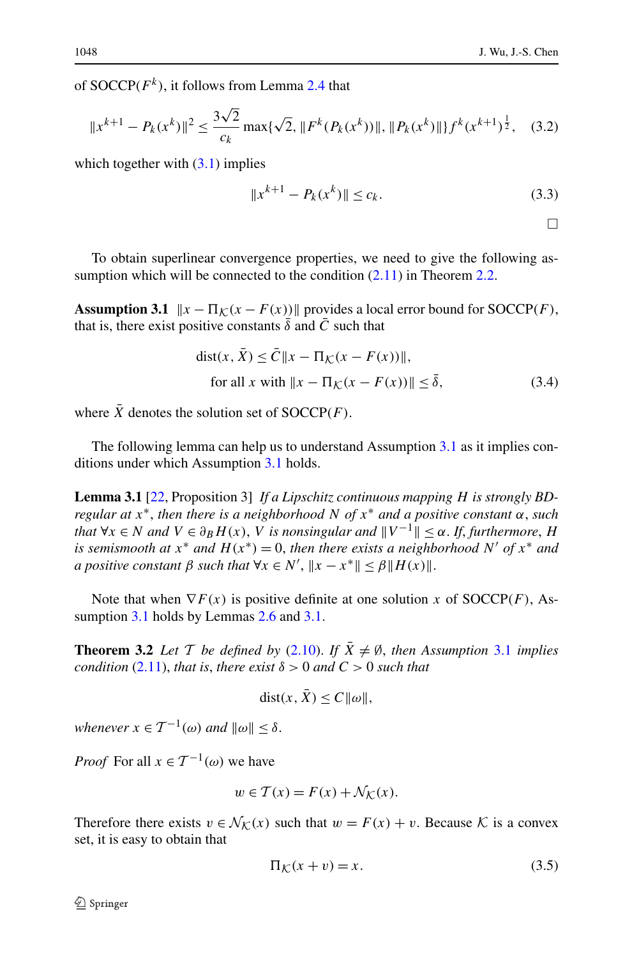of  $SOCCP(F^k)$ , it follows from Lemma [2.4](#page-7-0) that

$$
||x^{k+1} - P_k(x^k)||^2 \le \frac{3\sqrt{2}}{c_k} \max\{\sqrt{2}, ||F^k(P_k(x^k))||, ||P_k(x^k)||\} f^k(x^{k+1})^{\frac{1}{2}}, \quad (3.2)
$$

<span id="page-11-0"></span>which together with  $(3.1)$  implies

$$
||x^{k+1} - P_k(x^k)|| \le c_k.
$$
 (3.3)

 $\Box$ 

To obtain superlinear convergence properties, we need to give the following assumption which will be connected to the condition  $(2.11)$  in Theorem [2.2.](#page-9-5)

**Assumption 3.1**  $\|x - \Pi_{\mathcal{K}}(x - F(x))\|$  provides a local error bound for SOCCP(F), that is, there exist positive constants  $\overline{\delta}$  and  $\overline{C}$  such that

<span id="page-11-1"></span>
$$
\text{dist}(x, \bar{X}) \le \bar{C} \|x - \Pi_{\mathcal{K}}(x - F(x))\|,
$$
\n
$$
\text{for all } x \text{ with } \|x - \Pi_{\mathcal{K}}(x - F(x))\| \le \bar{\delta},\tag{3.4}
$$

where  $\overline{X}$  denotes the solution set of SOCCP(F).

The following lemma can help us to understand Assumption [3.1](#page-11-0) as it implies conditions under which Assumption [3.1](#page-11-0) holds.

<span id="page-11-3"></span>**Lemma 3.1** [[22,](#page-26-28) Proposition 3] *If a Lipschitz continuous mapping H is strongly BDregular at x*∗, *then there is a neighborhood N of x*<sup>∗</sup> *and a positive constant α*, *such that*  $\forall x \in N$  *and*  $V \in \partial_B H(x)$ , *V is nonsingular and*  $||V^{-1}|| \leq \alpha$ . *If, furthermore, H is semismooth at*  $x^*$  *and*  $H(x^*) = 0$ , *then there exists a neighborhood*  $N'$  *of*  $x^*$  *and a positive constant*  $\beta$  *such that*  $\forall x \in N', ||x - x^*|| \leq \beta ||H(x)||$ .

Note that when  $\nabla F(x)$  is positive definite at one solution x of  $\text{SOCCP}(F)$ , As-sumption [3.1](#page-11-0) holds by Lemmas [2.6](#page-8-1) and [3.1.](#page-11-1)

**Theorem 3.2** *Let*  $\mathcal{T}$  *be defined by* [\(2.10\)](#page-8-2). *If*  $\bar{X} \neq \emptyset$ , *then Assumption* [3.1](#page-11-0) *implies condition* [\(2.11\)](#page-9-4), *that is, there exist*  $\delta > 0$  *and*  $C > 0$  *such that* 

<span id="page-11-2"></span>
$$
dist(x, \bar{X}) \le C ||\omega||,
$$

*whenever*  $x \in T^{-1}(\omega)$  *and*  $\|\omega\| < \delta$ .

*Proof* For all  $x \in T^{-1}(\omega)$  we have

$$
w \in \mathcal{T}(x) = F(x) + \mathcal{N}_{\mathcal{K}}(x).
$$

Therefore there exists  $v \in \mathcal{N}_{\mathcal{K}}(x)$  such that  $w = F(x) + v$ . Because  $\mathcal K$  is a convex set, it is easy to obtain that

$$
\Pi_{\mathcal{K}}(x+v) = x. \tag{3.5}
$$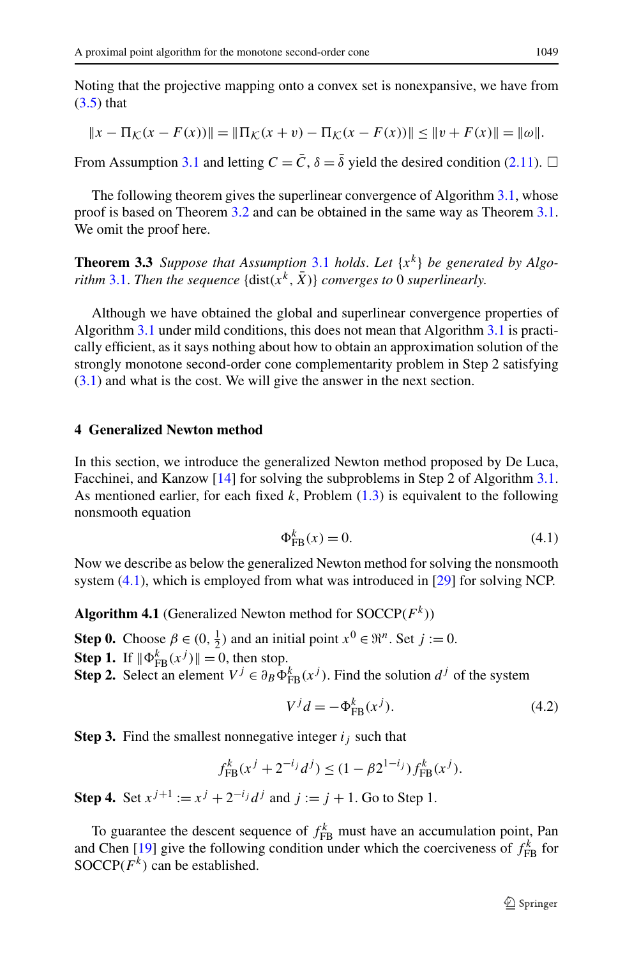Noting that the projective mapping onto a convex set is nonexpansive, we have from  $(3.5)$  that

<span id="page-12-3"></span>
$$
||x - \Pi_{\mathcal{K}}(x - F(x))|| = ||\Pi_{\mathcal{K}}(x + v) - \Pi_{\mathcal{K}}(x - F(x))|| \le ||v + F(x)|| = ||\omega||.
$$

From Assumption [3.1](#page-11-0) and letting  $C = \overline{C}$ ,  $\delta = \overline{\delta}$  yield the desired condition [\(2.11\)](#page-9-4).  $\Box$ 

The following theorem gives the superlinear convergence of Algorithm [3.1](#page-10-0), whose proof is based on Theorem [3.2](#page-11-3) and can be obtained in the same way as Theorem [3.1](#page-10-2). We omit the proof here.

**Theorem 3.3** *Suppose that Assumption* [3.1](#page-11-0) *holds*. Let  $\{x^k\}$  be generated by Algo*rithm* [3.1](#page-10-0). *Then the sequence* {dist $(x^k, \overline{X})$ } *converges to* 0 *superlinearly.* 

<span id="page-12-0"></span>Although we have obtained the global and superlinear convergence properties of Algorithm [3.1](#page-10-0) under mild conditions, this does not mean that Algorithm [3.1](#page-10-0) is practically efficient, as it says nothing about how to obtain an approximation solution of the strongly monotone second-order cone complementarity problem in Step 2 satisfying [\(3.1\)](#page-10-1) and what is the cost. We will give the answer in the next section.

#### **4 Generalized Newton method**

In this section, we introduce the generalized Newton method proposed by De Luca, Facchinei, and Kanzow [\[14\]](#page-26-15) for solving the subproblems in Step 2 of Algorithm [3.1](#page-10-0). As mentioned earlier, for each fixed  $k$ , Problem  $(1.3)$  is equivalent to the following nonsmooth equation

<span id="page-12-4"></span><span id="page-12-2"></span><span id="page-12-1"></span>
$$
\Phi_{\text{FB}}^k(x) = 0. \tag{4.1}
$$

Now we describe as below the generalized Newton method for solving the nonsmooth system  $(4.1)$ , which is employed from what was introduced in [[29\]](#page-26-11) for solving NCP.

**Algorithm 4.1** (Generalized Newton method for SOCCP*(Fk)*)

- **Step 0.** Choose  $\beta \in (0, \frac{1}{2})$  and an initial point  $x^0 \in \mathbb{R}^n$ . Set  $j := 0$ .
- **Step 1.** If  $\|\Phi_{FB}^k(x^j)\| = 0$ , then stop.

**Step 2.** Select an element  $V^j \in \partial_B \Phi_{FB}^k(x^j)$ . Find the solution  $d^j$  of the system

$$
V^{j}d = -\Phi_{\text{FB}}^{k}(x^{j}).\tag{4.2}
$$

**Step 3.** Find the smallest nonnegative integer  $i_j$  such that

$$
f_{\text{FB}}^k(x^j + 2^{-i_j}d^j) \le (1 - \beta 2^{1-i_j})f_{\text{FB}}^k(x^j).
$$

**Step 4.** Set  $x^{j+1} := x^j + 2^{-i} \cdot d^j$  and  $j := j + 1$ . Go to Step 1.

To guarantee the descent sequence of  $f_{FB}^k$  must have an accumulation point, Pan and Chen [[19\]](#page-26-23) give the following condition under which the coerciveness of  $f_{FB}^k$  for SOCCP $(F^k)$  can be established.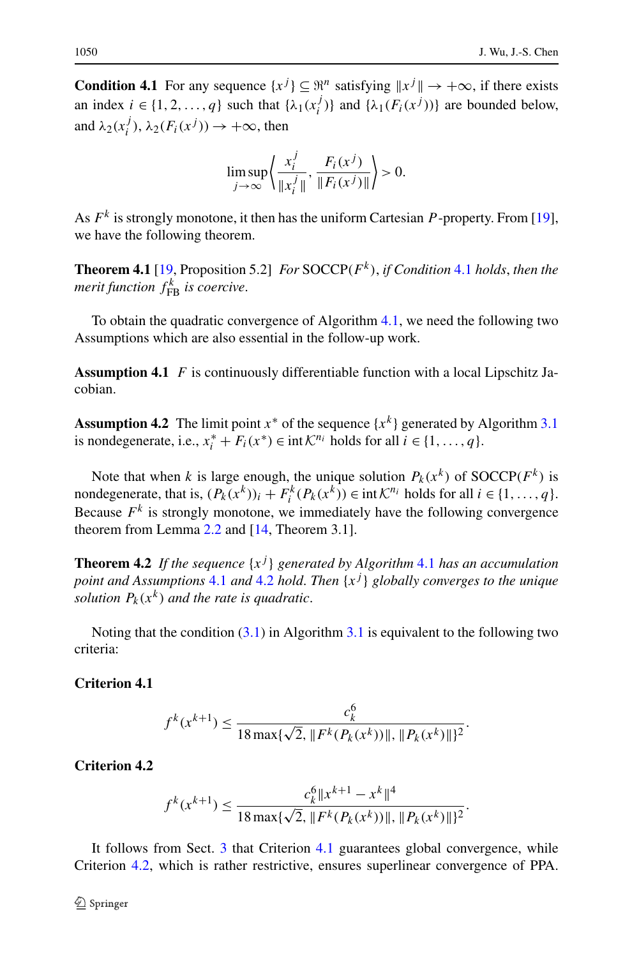<span id="page-13-0"></span>**Condition 4.1** For any sequence  $\{x^j\} \subseteq \Re^n$  satisfying  $\|x^j\| \to +\infty$ , if there exists an index  $i \in \{1, 2, ..., q\}$  such that  $\{\lambda_1(x_i^j)\}\$  and  $\{\lambda_1(F_i(x^j))\}\$  are bounded below, and  $\lambda_2(x_i^j)$ ,  $\lambda_2(F_i(x^j)) \to +\infty$ , then

$$
\limsup_{j \to \infty} \left\{ \frac{x_i^j}{\|x_i^j\|}, \frac{F_i(x^j)}{\|F_i(x^j)\|} \right\} > 0.
$$

<span id="page-13-1"></span>As *F<sup>k</sup>* is strongly monotone, it then has the uniform Cartesian *P* -property. From [[19\]](#page-26-23), we have the following theorem.

<span id="page-13-2"></span>**Theorem 4.1** [[19,](#page-26-23) Proposition 5.2] *For* SOCCP*(Fk)*, *if Condition* [4.1](#page-13-0) *holds*, *then the merit function*  $f_{FB}^k$  *is coercive.* 

To obtain the quadratic convergence of Algorithm [4.1,](#page-12-2) we need the following two Assumptions which are also essential in the follow-up work.

**Assumption 4.1** *F* is continuously differentiable function with a local Lipschitz Jacobian.

**Assumption 4.2** The limit point  $x^*$  of the sequence  $\{x^k\}$  generated by Algorithm [3.1](#page-11-0) is nondegenerate, i.e.,  $x_i^* + F_i(x^*) \in \text{int }\mathcal{K}^{n_i}$  holds for all  $i \in \{1, ..., q\}$ .

Note that when *k* is large enough, the unique solution  $P_k(x^k)$  of SOCCP( $F^k$ ) is nondegenerate, that is,  $(P_k(x^k))_i + F_i^k(P_k(x^k)) \in \text{int }\mathcal{K}^{n_i}$  holds for all  $i \in \{1, ..., q\}$ . Because  $F^k$  is strongly monotone, we immediately have the following convergence theorem from Lemma [2.2](#page-5-4) and [[14,](#page-26-15) Theorem 3.1].

<span id="page-13-3"></span>**Theorem 4.2** If the sequence  $\{x^j\}$  generated by Algorithm [4.1](#page-12-2) has an accumulation *point and Assumptions* [4.1](#page-13-1) *and* [4.2](#page-13-2) *hold*. *Then* {*x<sup>j</sup>* } *globally converges to the unique solution*  $P_k(x^k)$  *and the rate is quadratic.* 

<span id="page-13-4"></span>Noting that the condition ([3.1](#page-10-1)) in Algorithm [3.1](#page-10-0) is equivalent to the following two criteria:

# **Criterion 4.1**

$$
f^{k}(x^{k+1}) \le \frac{c_{k}^{6}}{18 \max\{\sqrt{2}, \|F^{k}(P_{k}(x^{k}))\|, \|P_{k}(x^{k})\|\}^{2}}.
$$

#### **Criterion 4.2**

$$
f^{k}(x^{k+1}) \le \frac{c_{k}^{6}||x^{k+1} - x^{k}||^{4}}{18 \max\{\sqrt{2}, \|F^{k}(P_{k}(x^{k}))\|, \|P_{k}(x^{k})\|\}^{2}}.
$$

It follows from Sect. [3](#page-9-0) that Criterion [4.1](#page-13-3) guarantees global convergence, while Criterion [4.2](#page-13-4), which is rather restrictive, ensures superlinear convergence of PPA.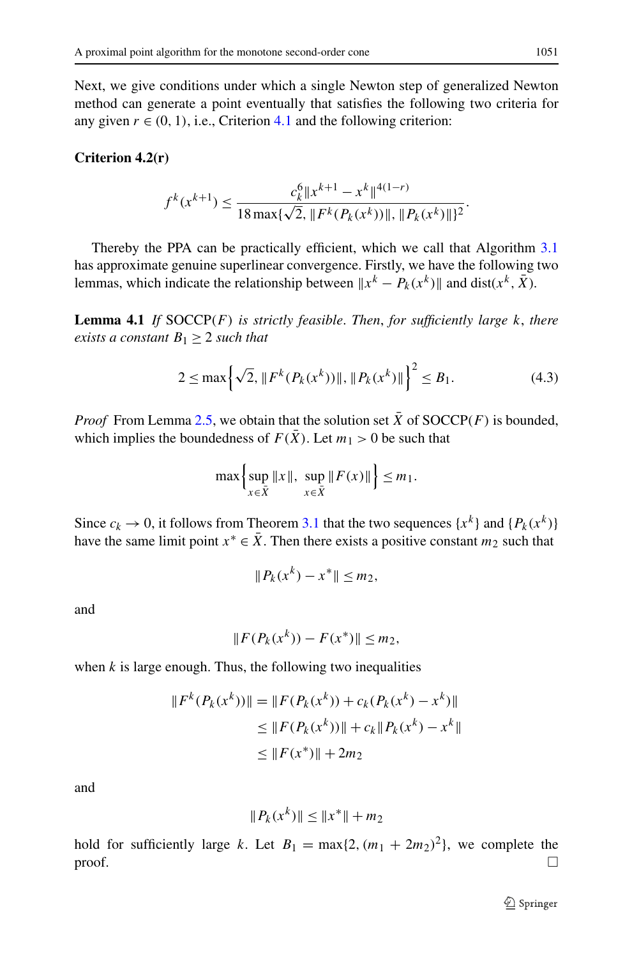<span id="page-14-1"></span>Next, we give conditions under which a single Newton step of generalized Newton method can generate a point eventually that satisfies the following two criteria for any given  $r \in (0, 1)$ , i.e., Criterion [4.1](#page-13-3) and the following criterion:

# <span id="page-14-0"></span>**Criterion 4.2(r)**

$$
f^{k}(x^{k+1}) \le \frac{c_{k}^{6} \|x^{k+1} - x^{k}\|^{4(1-r)}}{18 \max\{\sqrt{2}, \|F^{k}(P_{k}(x^{k}))\|, \|P_{k}(x^{k})\|\}^{2}}.
$$

Thereby the PPA can be practically efficient, which we call that Algorithm [3.1](#page-10-0) has approximate genuine superlinear convergence. Firstly, we have the following two lemmas, which indicate the relationship between  $x^k - P_k(x^k)$  and dist( $x^k$ ,  $\overline{X}$ ).

**Lemma 4.1** *If* SOCCP*(F) is strictly feasible*. *Then*, *for sufficiently large k*, *there exists a constant*  $B_1 \geq 2$  *such that* 

$$
2 \le \max\left\{\sqrt{2}, \|F^k(P_k(x^k))\|, \|P_k(x^k)\|\right\}^2 \le B_1.
$$
 (4.3)

*Proof* From Lemma [2.5,](#page-7-1) we obtain that the solution set  $\overline{X}$  of SOCCP*(F)* is bounded, which implies the boundedness of  $F(\bar{X})$ . Let  $m_1 > 0$  be such that

$$
\max\left\{\sup_{x\in\bar{X}}\|x\|,\sup_{x\in\bar{X}}\|F(x)\|\right\}\leq m_1.
$$

Since  $c_k \to 0$ , it follows from Theorem [3.1](#page-10-2) that the two sequences  $\{x^k\}$  and  $\{P_k(x^k)\}$ have the same limit point  $x^* \in \overline{X}$ . Then there exists a positive constant  $m_2$  such that

$$
||P_k(x^k) - x^*|| \le m_2,
$$

and

$$
||F(P_k(x^k)) - F(x^*)|| \le m_2,
$$

when  $k$  is large enough. Thus, the following two inequalities

$$
||F^{k}(P_{k}(x^{k}))|| = ||F(P_{k}(x^{k})) + c_{k}(P_{k}(x^{k}) - x^{k})||
$$
  
\n
$$
\leq ||F(P_{k}(x^{k}))|| + c_{k}||P_{k}(x^{k}) - x^{k}||
$$
  
\n
$$
\leq ||F(x^{*})|| + 2m_{2}
$$

and

$$
||P_k(x^k)|| \le ||x^*|| + m_2
$$

hold for sufficiently large *k*. Let  $B_1 = \max\{2, (m_1 + 2m_2)^2\}$ , we complete the  $\Box$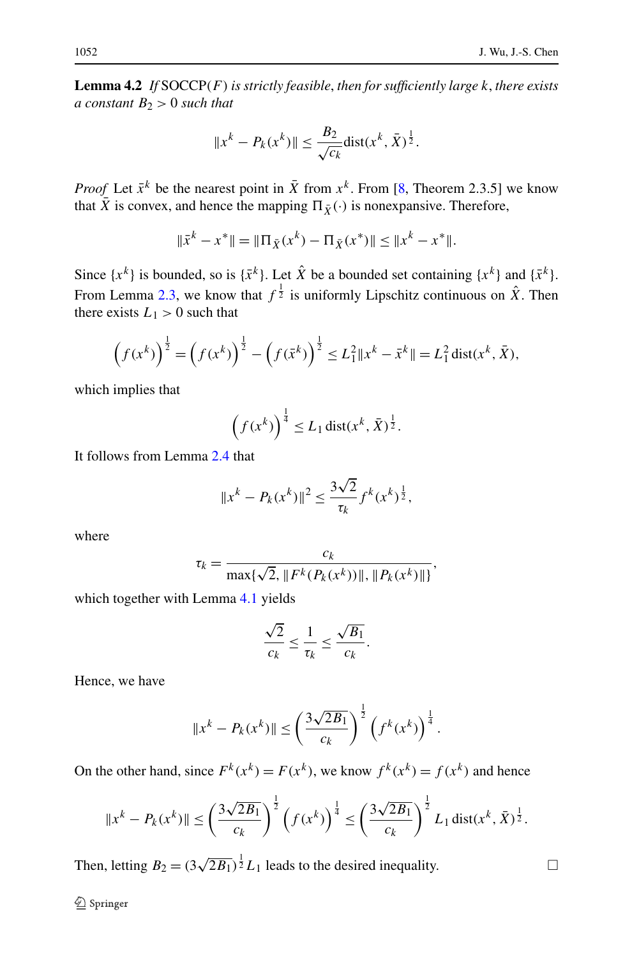<span id="page-15-0"></span>**Lemma 4.2** *If* SOCCP*(F) is strictly feasible*, *then for sufficiently large k*, *there exists a constant B*<sup>2</sup> *>* 0 *such that*

$$
||x^k - P_k(x^k)|| \le \frac{B_2}{\sqrt{c_k}} \text{dist}(x^k, \bar{X})^{\frac{1}{2}}.
$$

*Proof* Let  $\bar{x}^k$  be the nearest point in  $\bar{X}$  from  $x^k$ . From [[8,](#page-26-12) Theorem 2.3.5] we know that  $\overline{X}$  is convex, and hence the mapping  $\Pi_{\overline{X}}(\cdot)$  is nonexpansive. Therefore,

$$
\|\bar{x}^k - x^*\| = \|\Pi_{\bar{X}}(x^k) - \Pi_{\bar{X}}(x^*)\| \le \|x^k - x^*\|.
$$

Since  $\{x^k\}$  is bounded, so is  $\{\bar{x}^k\}$ . Let  $\hat{X}$  be a bounded set containing  $\{x^k\}$  and  $\{\bar{x}^k\}$ . From Lemma [2.3](#page-6-1), we know that  $f^{\frac{1}{2}}$  is uniformly Lipschitz continuous on  $\hat{X}$ . Then there exists  $L_1 > 0$  such that

$$
\left(f(x^k)\right)^{\frac{1}{2}} = \left(f(x^k)\right)^{\frac{1}{2}} - \left(f(\bar{x}^k)\right)^{\frac{1}{2}} \le L_1^2 \|x^k - \bar{x}^k\| = L_1^2 \operatorname{dist}(x^k, \bar{X}),
$$

which implies that

$$
\left(f(x^k)\right)^{\frac{1}{4}} \leq L_1 \operatorname{dist}(x^k, \bar{X})^{\frac{1}{2}}.
$$

It follows from Lemma [2.4](#page-7-0) that

$$
||x^{k} - P_{k}(x^{k})||^{2} \le \frac{3\sqrt{2}}{\tau_{k}} f^{k}(x^{k})^{\frac{1}{2}},
$$

where

$$
\tau_k = \frac{c_k}{\max\{\sqrt{2}, \|F^k(P_k(x^k))\|, \|P_k(x^k)\|\}},
$$

which together with Lemma [4.1](#page-14-0) yields

$$
\frac{\sqrt{2}}{c_k} \le \frac{1}{\tau_k} \le \frac{\sqrt{B_1}}{c_k}.
$$

Hence, we have

$$
||x^{k} - P_{k}(x^{k})|| \leq \left(\frac{3\sqrt{2B_{1}}}{c_{k}}\right)^{\frac{1}{2}} \left(f^{k}(x^{k})\right)^{\frac{1}{4}}.
$$

On the other hand, since  $F^k(x^k) = F(x^k)$ , we know  $f^k(x^k) = f(x^k)$  and hence

$$
||x^{k} - P_{k}(x^{k})|| \leq \left(\frac{3\sqrt{2B_{1}}}{c_{k}}\right)^{\frac{1}{2}} \left(f(x^{k})\right)^{\frac{1}{4}} \leq \left(\frac{3\sqrt{2B_{1}}}{c_{k}}\right)^{\frac{1}{2}} L_{1} \operatorname{dist}(x^{k}, \overline{X})^{\frac{1}{2}}.
$$

Then, letting  $B_2 = (3\sqrt{2B_1})^{\frac{1}{2}}L_1$  leads to the desired inequality.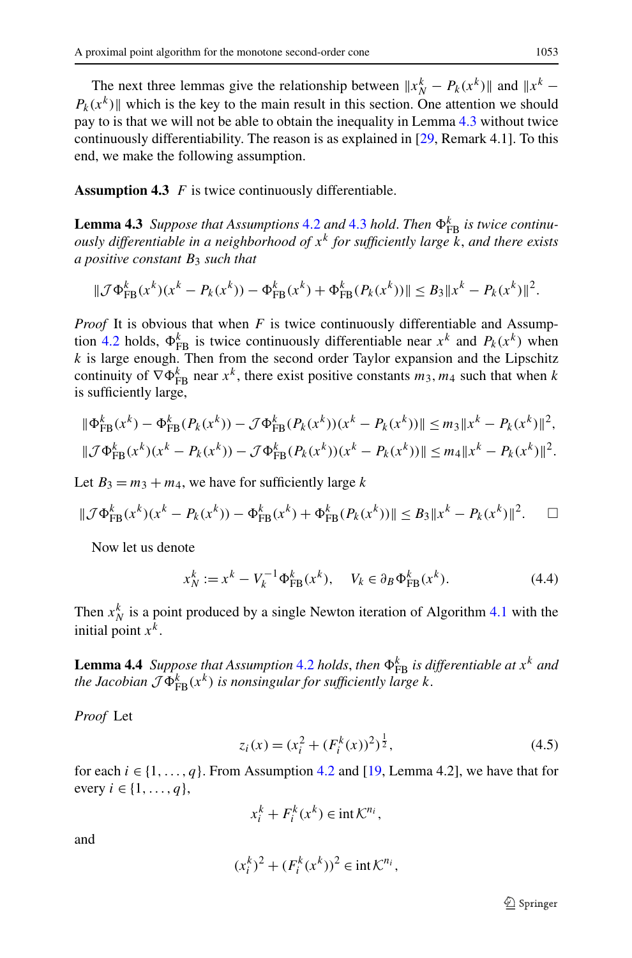<span id="page-16-1"></span><span id="page-16-0"></span>The next three lemmas give the relationship between  $||x_N^k - P_k(x^k)||$  and  $||x^k - x^k||$  $P_k(x^k)$  which is the key to the main result in this section. One attention we should pay to is that we will not be able to obtain the inequality in Lemma [4.3](#page-16-0) without twice continuously differentiability. The reason is as explained in [\[29](#page-26-11), Remark 4.1]. To this end, we make the following assumption.

**Assumption 4.3** *F* is twice continuously differentiable.

**Lemma [4.3](#page-16-1)** *Suppose that Assumptions* [4.2](#page-13-2) *and* 4.3 *hold. Then*  $\Phi_{FB}^k$  *is twice continuously differentiable in a neighborhood of x<sup>k</sup> for sufficiently large k*, *and there exists a positive constant B*<sup>3</sup> *such that*

$$
\|\mathcal{J}\Phi_{\text{FB}}^k(x^k)(x^k - P_k(x^k)) - \Phi_{\text{FB}}^k(x^k) + \Phi_{\text{FB}}^k(P_k(x^k))\| \leq B_3 \|x^k - P_k(x^k)\|^2.
$$

*Proof* It is obvious that when *F* is twice continuously differentiable and Assump-tion [4.2](#page-13-2) holds,  $\Phi_{FB}^k$  is twice continuously differentiable near  $x^k$  and  $P_k(x^k)$  when *k* is large enough. Then from the second order Taylor expansion and the Lipschitz continuity of  $\nabla \Phi_{\text{FB}}^k$  near  $x^k$ , there exist positive constants  $m_3$ ,  $m_4$  such that when *k* is sufficiently large,

$$
\begin{aligned} \|\Phi_{\text{FB}}^k(x^k) - \Phi_{\text{FB}}^k(P_k(x^k)) - \mathcal{J}\Phi_{\text{FB}}^k(P_k(x^k))(x^k - P_k(x^k))\| &\le m_3 \|x^k - P_k(x^k)\|^2, \\ \|\mathcal{J}\Phi_{\text{FB}}^k(x^k)(x^k - P_k(x^k)) - \mathcal{J}\Phi_{\text{FB}}^k(P_k(x^k))(x^k - P_k(x^k))\| &\le m_4 \|x^k - P_k(x^k)\|^2. \end{aligned}
$$

Let  $B_3 = m_3 + m_4$ , we have for sufficiently large *k* 

<span id="page-16-2"></span>
$$
\|\mathcal{J}\Phi_{\text{FB}}^k(x^k)(x^k - P_k(x^k)) - \Phi_{\text{FB}}^k(x^k) + \Phi_{\text{FB}}^k(P_k(x^k))\| \le B_3 \|x^k - P_k(x^k)\|^2. \quad \Box
$$

Now let us denote

<span id="page-16-4"></span>
$$
x_N^k := x^k - V_k^{-1} \Phi_{\text{FB}}^k(x^k), \quad V_k \in \partial_B \Phi_{\text{FB}}^k(x^k). \tag{4.4}
$$

Then  $x_N^k$  is a point produced by a single Newton iteration of Algorithm [4.1](#page-12-2) with the initial point  $x^k$ .

**Lemma 4.4** *Suppose that Assumption* [4.2](#page-13-2) *holds, then*  $\Phi_{FB}^k$  *is differentiable at*  $x^k$  *and the Jacobian*  $\mathcal{J}\Phi_{\text{FB}}^k(x^k)$  *is nonsingular for sufficiently large k*.

*Proof* Let

<span id="page-16-3"></span>
$$
z_i(x) = (x_i^2 + (F_i^k(x))^2)^{\frac{1}{2}},
$$
\n(4.5)

for each  $i \in \{1, \ldots, q\}$ . From Assumption [4.2](#page-13-2) and [[19,](#page-26-23) Lemma 4.2], we have that for every *i* ∈ {1, ..., *q*},

$$
x_i^k + F_i^k(x^k) \in \text{int}\,\mathcal{K}^{n_i},
$$

and

$$
(x_i^k)^2 + (F_i^k(x^k))^2 \in \text{int}\,\mathcal{K}^{n_i},
$$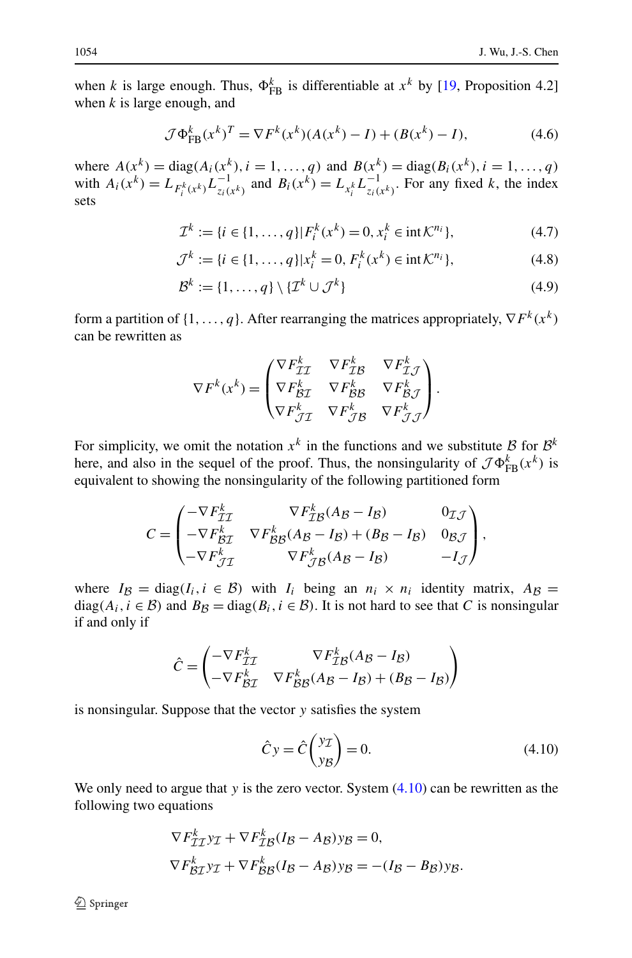<span id="page-17-1"></span>when *k* is large enough. Thus,  $\Phi_{FB}^k$  is differentiable at  $x^k$  by [[19,](#page-26-23) Proposition 4.2] when *k* is large enough, and

$$
\mathcal{J}\Phi_{\rm FB}^k(x^k)^T = \nabla F^k(x^k)(A(x^k) - I) + (B(x^k) - I),\tag{4.6}
$$

<span id="page-17-2"></span>where  $A(x^k) = \text{diag}(A_i(x^k), i = 1, ..., q)$  and  $B(x^k) = \text{diag}(B_i(x^k), i = 1, ..., q)$ with  $A_i(x^k) = L_{F_i^k(x^k)} L_{z_i(x^k)}^{-1}$  and  $B_i(x^k) = L_{x_i^k} L_{z_i(x^k)}^{-1}$ . For any fixed k, the index sets

$$
\mathcal{I}^k := \{ i \in \{1, \dots, q\} | F_i^k(x^k) = 0, x_i^k \in \text{int} \mathcal{K}^{n_i} \},\tag{4.7}
$$

$$
\mathcal{J}^k := \{ i \in \{1, ..., q\} | x_i^k = 0, F_i^k(x^k) \in \text{int} \mathcal{K}^{n_i} \},\tag{4.8}
$$

$$
\mathcal{B}^k := \{1, \dots, q\} \setminus \{\mathcal{I}^k \cup \mathcal{J}^k\} \tag{4.9}
$$

form a partition of  $\{1, \ldots, q\}$ . After rearranging the matrices appropriately,  $\nabla F^k(x^k)$ can be rewritten as

$$
\nabla F^{k}(x^{k}) = \begin{pmatrix} \nabla F_{\mathcal{I}\mathcal{I}}^{k} & \nabla F_{\mathcal{I}\mathcal{B}}^{k} & \nabla F_{\mathcal{I}\mathcal{J}}^{k} \\ \nabla F_{\mathcal{B}\mathcal{I}}^{k} & \nabla F_{\mathcal{B}\mathcal{B}}^{k} & \nabla F_{\mathcal{B}\mathcal{J}}^{k} \\ \nabla F_{\mathcal{I}\mathcal{I}}^{k} & \nabla F_{\mathcal{J}\mathcal{B}}^{k} & \nabla F_{\mathcal{J}\mathcal{J}}^{k} \end{pmatrix}.
$$

For simplicity, we omit the notation  $x^k$  in the functions and we substitute B for  $\mathcal{B}^k$ here, and also in the sequel of the proof. Thus, the nonsingularity of  $\mathcal{J}\Phi_{FB}^k(x^k)$  is equivalent to showing the nonsingularity of the following partitioned form

$$
C = \begin{pmatrix} -\nabla F_{\mathcal{I}\mathcal{I}}^k & \nabla F_{\mathcal{I}\mathcal{B}}^k (A_{\mathcal{B}} - I_{\mathcal{B}}) & 0_{\mathcal{I}\mathcal{J}} \\ -\nabla F_{\mathcal{B}\mathcal{I}}^k & \nabla F_{\mathcal{B}\mathcal{B}}^k (A_{\mathcal{B}} - I_{\mathcal{B}}) + (B_{\mathcal{B}} - I_{\mathcal{B}}) & 0_{\mathcal{B}\mathcal{J}} \\ -\nabla F_{\mathcal{J}\mathcal{I}}^k & \nabla F_{\mathcal{J}\mathcal{B}}^k (A_{\mathcal{B}} - I_{\mathcal{B}}) & -I_{\mathcal{J}} \end{pmatrix},
$$

where  $I_{\mathcal{B}} = \text{diag}(I_i, i \in \mathcal{B})$  with  $I_i$  being an  $n_i \times n_i$  identity matrix,  $A_{\mathcal{B}} =$ diag( $A_i$ ,  $i \in \mathcal{B}$ ) and  $B_{\mathcal{B}} = \text{diag}(B_i, i \in \mathcal{B})$ . It is not hard to see that *C* is nonsingular if and only if

$$
\hat{C} = \begin{pmatrix}\n-\nabla F_{TT}^k & \nabla F_{TB}^k (A_B - I_B) \\
-\nabla F_{BT}^k & \nabla F_{BB}^k (A_B - I_B) + (B_B - I_B)\n\end{pmatrix}
$$

is nonsingular. Suppose that the vector *y* satisfies the system

<span id="page-17-0"></span>
$$
\hat{C}y = \hat{C}\begin{pmatrix} y_{\mathcal{I}} \\ y_{\mathcal{B}} \end{pmatrix} = 0.
$$
\n(4.10)

We only need to argue that *y* is the zero vector. System  $(4.10)$  can be rewritten as the following two equations

$$
\nabla F_{\mathcal{I}\mathcal{I}}^k y_{\mathcal{I}} + \nabla F_{\mathcal{I}\mathcal{B}}^k (I_{\mathcal{B}} - A_{\mathcal{B}}) y_{\mathcal{B}} = 0,
$$
  

$$
\nabla F_{\mathcal{B}\mathcal{I}}^k y_{\mathcal{I}} + \nabla F_{\mathcal{B}\mathcal{B}}^k (I_{\mathcal{B}} - A_{\mathcal{B}}) y_{\mathcal{B}} = -(I_{\mathcal{B}} - B_{\mathcal{B}}) y_{\mathcal{B}}.
$$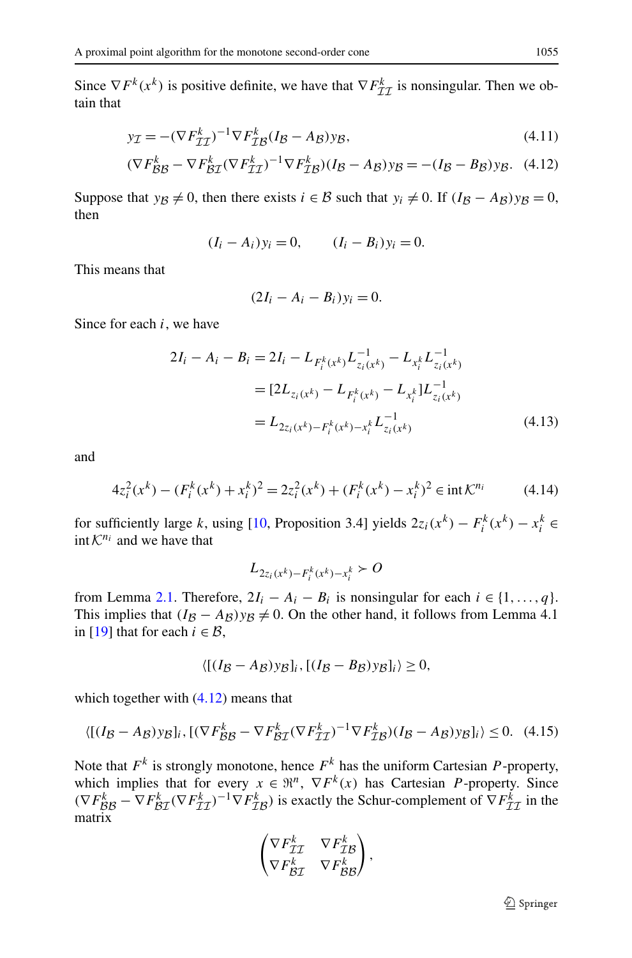<span id="page-18-0"></span>Since  $\nabla F^k(x^k)$  is positive definite, we have that  $\nabla F^k_{\mathcal{I}\mathcal{I}}$  is nonsingular. Then we obtain that

$$
y_{\mathcal{I}} = -(\nabla F_{\mathcal{II}}^k)^{-1} \nabla F_{\mathcal{I}B}^k (I_B - A_B) y_B,
$$
\n(4.11)

$$
(\nabla F_{\mathcal{B}\mathcal{B}}^k - \nabla F_{\mathcal{B}\mathcal{I}}^k (\nabla F_{\mathcal{I}\mathcal{I}}^k)^{-1} \nabla F_{\mathcal{I}\mathcal{B}}^k)(I_{\mathcal{B}} - A_{\mathcal{B}}) y_{\mathcal{B}} = -(I_{\mathcal{B}} - B_{\mathcal{B}}) y_{\mathcal{B}}.
$$
 (4.12)

Suppose that *y<sub>B</sub>*  $\neq$  0, then there exists *i* ∈ *B* such that *y<sub>i</sub>*  $\neq$  0. If  $(I_B - A_B)y_B = 0$ , then

$$
(I_i - A_i)y_i = 0,
$$
  $(I_i - B_i)y_i = 0.$ 

This means that

$$
(2I_i - A_i - B_i)y_i = 0.
$$

Since for each *i*, we have

$$
2I_i - A_i - B_i = 2I_i - L_{F_i^k(x^k)} L_{z_i(x^k)}^{-1} - L_{x_i^k} L_{z_i(x^k)}^{-1}
$$
  
= 
$$
[2L_{z_i(x^k)} - L_{F_i^k(x^k)} - L_{x_i^k}]L_{z_i(x^k)}^{-1}
$$
  
= 
$$
L_{2z_i(x^k) - F_i^k(x^k) - x_i^k} L_{z_i(x^k)}^{-1}
$$
(4.13)

and

$$
4z_i^2(x^k) - (F_i^k(x^k) + x_i^k)^2 = 2z_i^2(x^k) + (F_i^k(x^k) - x_i^k)^2 \in \text{int}\,\mathcal{K}^{n_i}
$$
 (4.14)

for sufficiently large *k*, using [[10,](#page-26-6) Proposition 3.4] yields  $2z_i(x^k) - F_i^k(x^k) - x_i^k \in$ int  $K^{n_i}$  and we have that

<span id="page-18-1"></span>
$$
L_{2z_i(x^k) - F_i^k(x^k) - x_i^k} > O
$$

from Lemma [2.1.](#page-4-1) Therefore,  $2I_i - A_i - B_i$  is nonsingular for each  $i \in \{1, ..., q\}$ . This implies that  $(I_B - A_B)y_B \neq 0$ . On the other hand, it follows from Lemma 4.1 in [\[19](#page-26-23)] that for each  $i \in \mathcal{B}$ ,

$$
\langle [(I_{\mathcal{B}} - A_{\mathcal{B}}) y_{\mathcal{B}}]_i, [(I_{\mathcal{B}} - B_{\mathcal{B}}) y_{\mathcal{B}}]_i \rangle \ge 0,
$$

which together with  $(4.12)$  means that

$$
\langle [(I_{\mathcal{B}} - A_{\mathcal{B}}) y_{\mathcal{B}}]_i, [(\nabla F_{\mathcal{B}\mathcal{B}}^k - \nabla F_{\mathcal{B}\mathcal{I}}^k (\nabla F_{\mathcal{I}\mathcal{I}}^k)^{-1} \nabla F_{\mathcal{I}\mathcal{B}}^k)(I_{\mathcal{B}} - A_{\mathcal{B}}) y_{\mathcal{B}}]_i \rangle \le 0. \tag{4.15}
$$

Note that  $F^k$  is strongly monotone, hence  $F^k$  has the uniform Cartesian *P*-property, which implies that for every  $x \in \mathbb{R}^n$ ,  $\nabla F^k(x)$  has Cartesian *P*-property. Since  $(\nabla F_{\beta\beta}^k - \nabla F_{\beta\gamma}^k (\nabla F_{\gamma\gamma}^k)^{-1} \nabla F_{\gamma\beta}^k)$  is exactly the Schur-complement of  $\nabla F_{\gamma\gamma}^k$  in the matrix

$$
\begin{pmatrix} \nabla F_{\mathcal{I}\mathcal{I}}^k & \nabla F_{\mathcal{I}\mathcal{B}}^k \\ \nabla F_{\mathcal{B}\mathcal{I}}^k & \nabla F_{\mathcal{B}\mathcal{B}}^k \end{pmatrix},
$$

 $\circledcirc$  Springer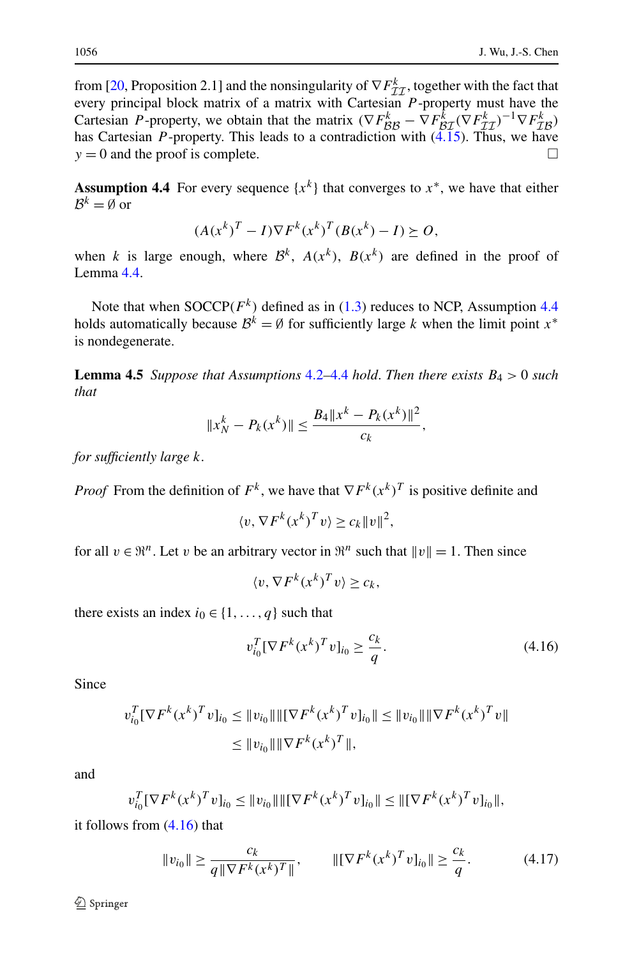<span id="page-19-0"></span>from [[20,](#page-26-24) Proposition 2.1] and the nonsingularity of  $\nabla F_{\mathcal{II}}^k$ , together with the fact that every principal block matrix of a matrix with Cartesian *P* -property must have the Cartesian *P* -property, we obtain that the matrix  $(\nabla F_{\mathcal{B}\mathcal{B}}^k - \nabla F_{\mathcal{B}\mathcal{I}}^k (\nabla F_{\mathcal{I}\mathcal{I}}^k)^{-1} \nabla F_{\mathcal{I}\mathcal{B}}^k)$ has Cartesian *P*-property. This leads to a contradiction with  $(\tilde{4.15})$ . Thus, we have  $y = 0$  and the proof is complete.

**Assumption 4.4** For every sequence  $\{x^k\}$  that converges to  $x^*$ , we have that either  $B^k = \emptyset$  or

$$
(A(x^k)^T - I)\nabla F^k(x^k)^T(B(x^k) - I) \succeq O,
$$

<span id="page-19-2"></span>when *k* is large enough, where  $\mathcal{B}^k$ ,  $A(x^k)$ ,  $B(x^k)$  are defined in the proof of Lemma [4.4](#page-16-2).

Note that when  $\text{SOCCP}(F^k)$  defined as in [\(1.3\)](#page-1-1) reduces to NCP, Assumption [4.4](#page-19-0) holds automatically because  $\mathcal{B}^k = \emptyset$  for sufficiently large *k* when the limit point  $x^*$ is nondegenerate.

**Lemma 4.5** *Suppose that Assumptions* [4.2](#page-13-2)*–*[4.4](#page-19-0) *hold*. *Then there exists B*<sup>4</sup> *>* 0 *such that*

$$
||x_N^k - P_k(x^k)|| \le \frac{B_4||x^k - P_k(x^k)||^2}{c_k},
$$

*for sufficiently large k*.

*Proof* From the definition of  $F^k$ , we have that  $\nabla F^k(x^k)$ <sup>T</sup> is positive definite and

$$
\langle v, \nabla F^k (x^k)^T v \rangle \ge c_k ||v||^2,
$$

for all  $v \in \mathbb{R}^n$ . Let *v* be an arbitrary vector in  $\mathbb{R}^n$  such that  $||v|| = 1$ . Then since

<span id="page-19-1"></span>
$$
\langle v, \nabla F^k (x^k)^T v \rangle \geq c_k,
$$

there exists an index  $i_0 \in \{1, ..., q\}$  such that

$$
v_{i_0}^T [\nabla F^k (x^k)^T v]_{i_0} \ge \frac{c_k}{q}.
$$
\n(4.16)

Since

$$
v_{i_0}^T [\nabla F^k (x^k)^T v]_{i_0} \le ||v_{i_0}|| \|\nabla F^k (x^k)^T v|_{i_0}\| \le ||v_{i_0}|| \|\nabla F^k (x^k)^T v\|
$$
  

$$
\le ||v_{i_0}|| \|\nabla F^k (x^k)^T\|,
$$

and

$$
v_{i_0}^T [\nabla F^k (x^k)^T v]_{i_0} \le ||v_{i_0}|| \|\nabla F^k (x^k)^T v|_{i_0}\| \le ||[\nabla F^k (x^k)^T v]_{i_0}\|,
$$

it follows from [\(4.16\)](#page-19-1) that

$$
||v_{i_0}|| \ge \frac{c_k}{q||\nabla F^k(x^k)^T||}, \qquad ||[\nabla F^k(x^k)^T v]_{i_0}|| \ge \frac{c_k}{q}.
$$
 (4.17)

 $\otimes$  Springer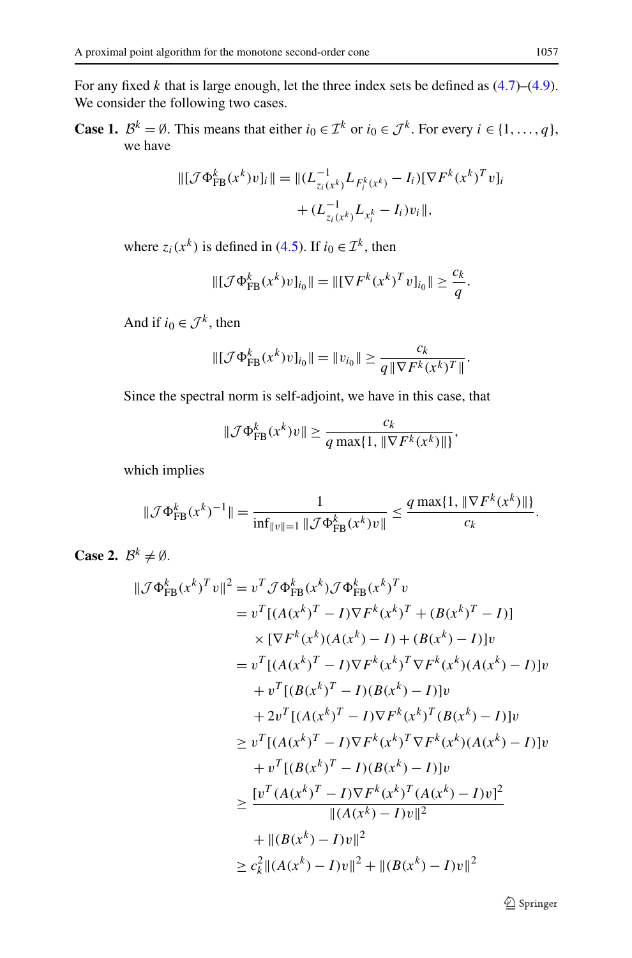For any fixed *k* that is large enough, let the three index sets be defined as [\(4.7\)](#page-17-1)–[\(4.9\)](#page-17-2). We consider the following two cases.

**Case 1.**  $\mathcal{B}^k = \emptyset$ . This means that either  $i_0 \in \mathcal{I}^k$  or  $i_0 \in \mathcal{J}^k$ . For every  $i \in \{1, ..., q\}$ , we have

$$
\begin{aligned} \|\left[\mathcal{J}\Phi_{\text{FB}}^k(x^k)v\right]_i\| &= \|(L_{z_i(x^k)}^{-1}L_{F_i^k(x^k)} - I_i)[\nabla F^k(x^k)^T v]_i \\ &+ (L_{z_i(x^k)}^{-1}L_{x_i^k} - I_i)v_i\|, \end{aligned}
$$

where  $z_i(x^k)$  is defined in [\(4.5\)](#page-16-3). If  $i_0 \in \mathcal{I}^k$ , then

$$
\|[\mathcal{J}\Phi_{\text{FB}}^k(x^k)v]_{i_0}\| = \|[\nabla F^k(x^k)^T v]_{i_0}\| \ge \frac{c_k}{q}.
$$

And if  $i_0 \in \mathcal{J}^k$ , then

$$
\|[\mathcal{J}\Phi_{\text{FB}}^k(x^k)v]_{i_0}\| = \|v_{i_0}\| \ge \frac{c_k}{q\|\nabla F^k(x^k)^T\|}.
$$

Since the spectral norm is self-adjoint, we have in this case, that

$$
\|\mathcal{J}\Phi_{\text{FB}}^k(x^k)v\| \geq \frac{c_k}{q \max\{1, \|\nabla F^k(x^k)\|\}},
$$

which implies

$$
\|\mathcal{J}\Phi_{\text{FB}}^k(x^k)^{-1}\| = \frac{1}{\inf_{\|v\|=1} \|\mathcal{J}\Phi_{\text{FB}}^k(x^k)v\|} \le \frac{q \max\{1, \|\nabla F^k(x^k)\| \}}{c_k}.
$$

**Case 2.**  $B^k \neq \emptyset$ .

$$
\|\mathcal{J}\Phi_{FB}^{k}(x^{k})^{T}v\|^{2} = v^{T}\mathcal{J}\Phi_{FB}^{k}(x^{k})\mathcal{J}\Phi_{FB}^{k}(x^{k})^{T}v
$$
  
\n
$$
= v^{T}[(A(x^{k})^{T} - I)\nabla F^{k}(x^{k})^{T} + (B(x^{k})^{T} - I)]
$$
  
\n
$$
\times [\nabla F^{k}(x^{k})(A(x^{k}) - I) + (B(x^{k}) - I)]v
$$
  
\n
$$
= v^{T}[(A(x^{k})^{T} - I)\nabla F^{k}(x^{k})^{T}\nabla F^{k}(x^{k})(A(x^{k}) - I)]v
$$
  
\n
$$
+ v^{T}[(B(x^{k})^{T} - I)\nabla F^{k}(x^{k})^{T}(B(x^{k}) - I)]v
$$
  
\n
$$
\geq v^{T}[(A(x^{k})^{T} - I)\nabla F^{k}(x^{k})^{T}\nabla F^{k}(x^{k})(A(x^{k}) - I)]v
$$
  
\n
$$
+ v^{T}[(B(x^{k})^{T} - I)(B(x^{k}) - I)]v
$$
  
\n
$$
\geq \frac{[v^{T}(A(x^{k})^{T} - I)\nabla F^{k}(x^{k})^{T}(A(x^{k}) - I)v]^{2}}{||(A(x^{k}) - I)v||^{2}}
$$
  
\n
$$
+ ||(B(x^{k}) - I)v||^{2}
$$
  
\n
$$
\geq c_{k}^{2}||(A(x^{k}) - I)v||^{2} + ||(B(x^{k}) - I)v||^{2}
$$

**◯** Springer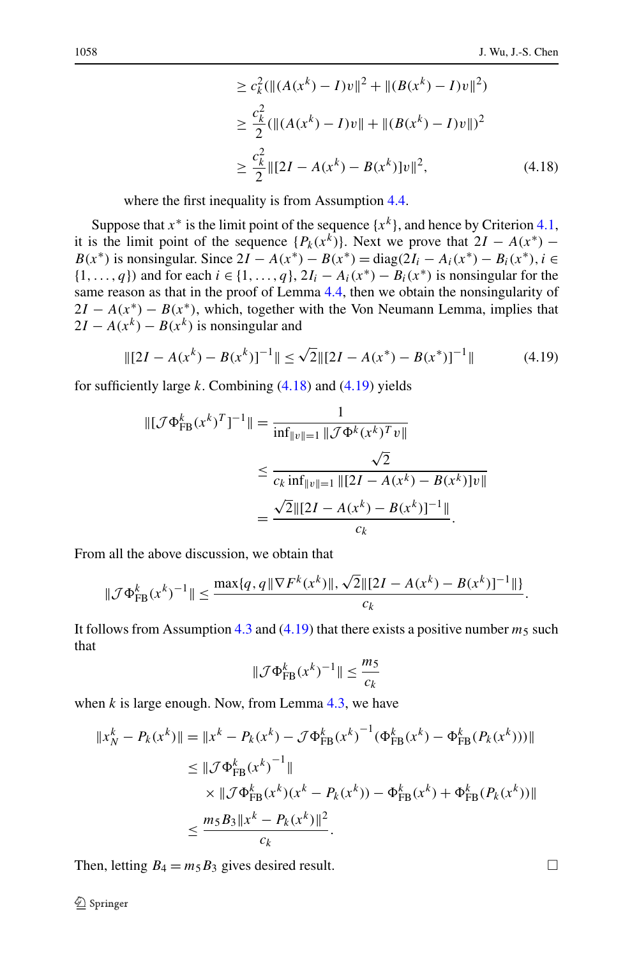<span id="page-21-1"></span><span id="page-21-0"></span>
$$
\geq c_k^2 (\|(A(x^k) - I)v\|^2 + \|(B(x^k) - I)v\|^2)
$$
  
\n
$$
\geq \frac{c_k^2}{2} (\|(A(x^k) - I)v\| + \|(B(x^k) - I)v\|)^2
$$
  
\n
$$
\geq \frac{c_k^2}{2} \|[2I - A(x^k) - B(x^k)]v\|^2,
$$
\n(4.18)

where the first inequality is from Assumption [4.4](#page-19-0).

Suppose that  $x^*$  is the limit point of the sequence  $\{x^k\}$ , and hence by Criterion [4.1](#page-13-3), it is the limit point of the sequence  $\{P_k(x^k)\}\)$ . Next we prove that  $2I - A(x^*)$  − *B(x<sup>\*</sup>)* is nonsingular. Since  $2I - A(x^*) - B(x^*) = diag(2I_i - A_i(x^*) - B_i(x^*), i \in$  $\{1,\ldots,q\}$  and for each  $i \in \{1,\ldots,q\}$ ,  $2I_i - A_i(x^*) - B_i(x^*)$  is nonsingular for the same reason as that in the proof of Lemma [4.4](#page-16-2), then we obtain the nonsingularity of  $2I - A(x^*) - B(x^*)$ , which, together with the Von Neumann Lemma, implies that  $2I - A(x^k) - B(x^k)$  is nonsingular and

$$
\| [2I - A(x^k) - B(x^k)]^{-1} \| \le \sqrt{2} \| [2I - A(x^*) - B(x^*)]^{-1} \| \tag{4.19}
$$

for sufficiently large *k*. Combining [\(4.18](#page-21-0)) and [\(4.19\)](#page-21-1) yields

$$
\begin{aligned} \|\left[\mathcal{J}\Phi_{\text{FB}}^{k}(x^{k})^{T}\right]^{-1}\| &= \frac{1}{\inf_{\|v\|=1} \|\mathcal{J}\Phi^{k}(x^{k})^{T}v\|} \\ &\leq \frac{\sqrt{2}}{c_{k}\inf_{\|v\|=1} \|\left[2I - A(x^{k}) - B(x^{k})\right]v\|} \\ &= \frac{\sqrt{2}\|\left[2I - A(x^{k}) - B(x^{k})\right]^{-1}\|}{c_{k}}. \end{aligned}
$$

From all the above discussion, we obtain that

$$
\|\mathcal{J}\Phi_{\text{FB}}^k(x^k)^{-1}\| \le \frac{\max\{q, q \|\nabla F^k(x^k)\|, \sqrt{2}\|[2I - A(x^k) - B(x^k)]^{-1}\| \}}{c_k}.
$$

It follows from Assumption [4.3](#page-16-1) and  $(4.19)$  that there exists a positive number  $m_5$  such that

$$
\|\mathcal{J}\Phi_{\text{FB}}^k(x^k)^{-1}\| \le \frac{m_5}{c_k}
$$

when *k* is large enough. Now, from Lemma [4.3,](#page-16-0) we have

$$
||x_N^k - P_k(x^k)|| = ||x^k - P_k(x^k) - \mathcal{J}\Phi_{FB}^k(x^k)^{-1}(\Phi_{FB}^k(x^k) - \Phi_{FB}^k(P_k(x^k)))||
$$
  
\n
$$
\leq ||\mathcal{J}\Phi_{FB}^k(x^k)^{-1}||
$$
  
\n
$$
\times ||\mathcal{J}\Phi_{FB}^k(x^k)(x^k - P_k(x^k)) - \Phi_{FB}^k(x^k) + \Phi_{FB}^k(P_k(x^k))||
$$
  
\n
$$
\leq \frac{m_5 B_3 ||x^k - P_k(x^k)||^2}{c_k}.
$$

Then, letting  $B_4 = m_5 B_3$  gives desired result.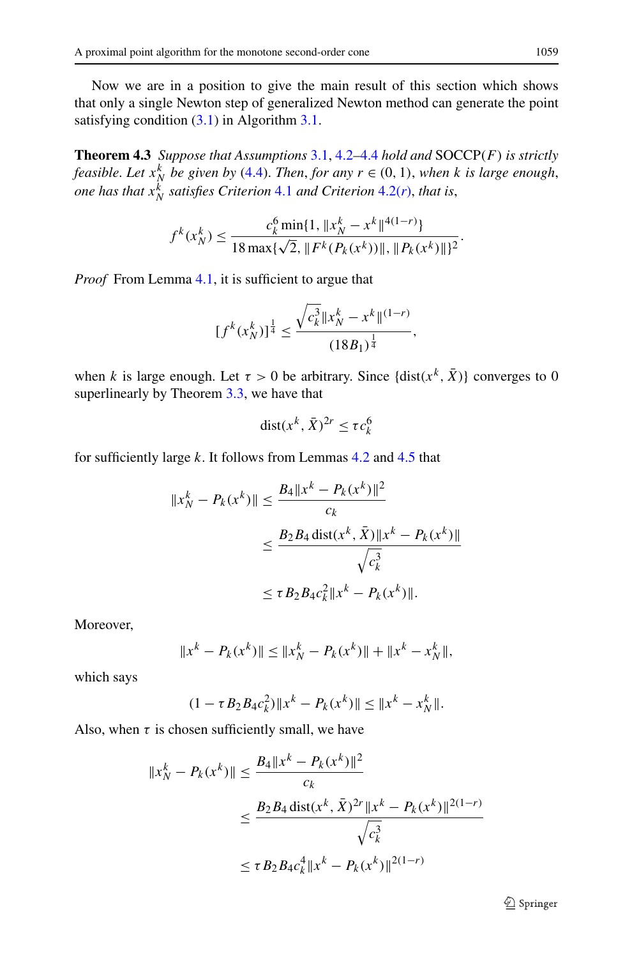Now we are in a position to give the main result of this section which shows that only a single Newton step of generalized Newton method can generate the point satisfying condition [\(3.1\)](#page-10-1) in Algorithm [3.1](#page-10-0).

**Theorem 4.3** *Suppose that Assumptions* [3.1,](#page-11-0) [4.2](#page-13-2)*–*[4.4](#page-19-0) *hold and* SOCCP*(F) is strictly feasible. Let*  $x_N^k$  *be given by* ([4.4](#page-16-4)). *Then, for any*  $r \in (0, 1)$ , *when k is large enough*, *one has that*  $x_N^k$  *satisfies Criterion* [4.1](#page-13-3) *and Criterion* [4.2\(](#page-14-1)*r*), *that* is,

$$
f^{k}(x_N^k) \le \frac{c_k^6 \min\{1, \|x_N^k - x^k\|^{4(1-r)}\}}{18 \max\{\sqrt{2}, \|F^k(P_k(x^k))\|, \|P_k(x^k)\|\}^2}.
$$

*Proof* From Lemma [4.1](#page-14-0), it is sufficient to argue that

$$
[f^{k}(x_N^k)]^{\frac{1}{4}} \le \frac{\sqrt{c_k^3} \|x_N^k - x^k\|^{(1-r)}}{(18B_1)^{\frac{1}{4}}},
$$

when *k* is large enough. Let  $\tau > 0$  be arbitrary. Since  $\{\text{dist}(x^k, \bar{X})\}$  converges to 0 superlinearly by Theorem [3.3,](#page-12-3) we have that

$$
dist(x^k, \bar{X})^{2r} \le \tau c_k^6
$$

for sufficiently large *k*. It follows from Lemmas [4.2](#page-15-0) and [4.5](#page-19-2) that

$$
||x_N^k - P_k(x^k)|| \le \frac{B_4 ||x^k - P_k(x^k)||^2}{c_k}
$$
  

$$
\le \frac{B_2 B_4 \operatorname{dist}(x^k, \bar{X}) ||x^k - P_k(x^k)||}{\sqrt{c_k^3}}
$$
  

$$
\le \tau B_2 B_4 c_k^2 ||x^k - P_k(x^k)||.
$$

Moreover,

$$
||x^k - P_k(x^k)|| \le ||x_N^k - P_k(x^k)|| + ||x^k - x_N^k||,
$$

which says

$$
(1 - \tau B_2 B_4 c_k^2) \|x^k - P_k(x^k)\| \le \|x^k - x_N^k\|.
$$

Also, when  $\tau$  is chosen sufficiently small, we have

$$
||x_N^k - P_k(x^k)|| \le \frac{B_4 ||x^k - P_k(x^k)||^2}{c_k}
$$
  

$$
\le \frac{B_2 B_4 \operatorname{dist}(x^k, \bar{X})^{2r} ||x^k - P_k(x^k)||^{2(1-r)}}{\sqrt{c_k^3}}
$$
  

$$
\le \tau B_2 B_4 c_k^4 ||x^k - P_k(x^k)||^{2(1-r)}
$$

 $\circledcirc$  Springer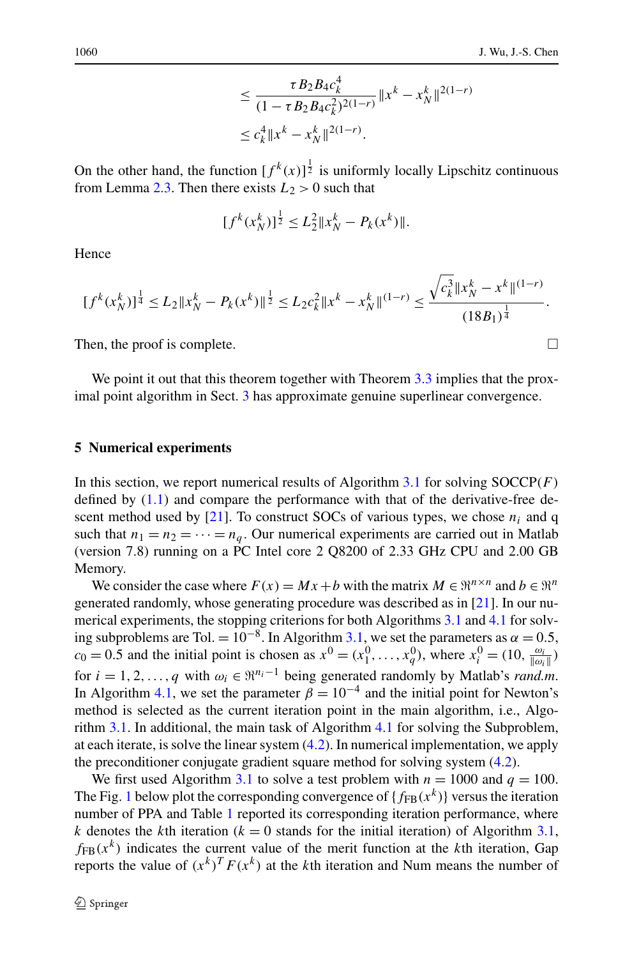$$
\leq \frac{\tau B_2 B_4 c_k^4}{(1 - \tau B_2 B_4 c_k^2)^{2(1-r)}} \|x^k - x_N^k\|^{2(1-r)}
$$
  

$$
\leq c_k^4 \|x^k - x_N^k\|^{2(1-r)}.
$$

On the other hand, the function  $[f^k(x)]^{\frac{1}{2}}$  is uniformly locally Lipschitz continuous from Lemma [2.3](#page-6-1). Then there exists  $L_2 > 0$  such that

$$
[f^k(x_N^k)]^{\frac{1}{2}} \le L_2^2 \|x_N^k - P_k(x^k)\|.
$$

Hence

$$
[f^{k}(x_N^k)]^{\frac{1}{4}} \le L_2 \|x_N^k - P_k(x^k)\|^{\frac{1}{2}} \le L_2 c_k^2 \|x^k - x_N^k\|^{(1-r)} \le \frac{\sqrt{c_k^3} \|x_N^k - x^k\|^{(1-r)}}{(18B_1)^{\frac{1}{4}}}.
$$

<span id="page-23-0"></span>Then, the proof is complete.  $\Box$ 

We point it out that this theorem together with Theorem [3.3](#page-12-3) implies that the proximal point algorithm in Sect. [3](#page-9-0) has approximate genuine superlinear convergence.

#### **5 Numerical experiments**

In this section, we report numerical results of Algorithm [3.1](#page-10-0) for solving SOCCP*(F)* defined by ([1.1](#page-1-0)) and compare the performance with that of the derivative-free de-scent method used by [[21\]](#page-26-0). To construct SOCs of various types, we chose  $n_i$  and q such that  $n_1 = n_2 = \cdots = n_q$ . Our numerical experiments are carried out in Matlab (version 7.8) running on a PC Intel core 2 Q8200 of 2.33 GHz CPU and 2.00 GB Memory.

We consider the case where  $F(x) = Mx + b$  with the matrix  $M \in \mathbb{R}^{n \times n}$  and  $b \in \mathbb{R}^n$ generated randomly, whose generating procedure was described as in [\[21](#page-26-0)]. In our numerical experiments, the stopping criterions for both Algorithms [3.1](#page-10-0) and [4.1](#page-12-2) for solving subproblems are Tol. =  $10^{-8}$ . In Algorithm [3.1,](#page-10-0) we set the parameters as  $\alpha = 0.5$ ,  $c_0 = 0.5$  and the initial point is chosen as  $x^0 = (x_1^0, \ldots, x_q^0)$ , where  $x_i^0 = (10, \frac{\omega_i}{\|\omega_i\|})$ for  $i = 1, 2, ..., q$  with  $\omega_i \in \mathbb{R}^{n_i-1}$  being generated randomly by Matlab's *rand.m.* In Algorithm [4.1,](#page-12-2) we set the parameter  $\beta = 10^{-4}$  and the initial point for Newton's method is selected as the current iteration point in the main algorithm, i.e., Algorithm [3.1.](#page-10-0) In additional, the main task of Algorithm [4.1](#page-12-2) for solving the Subproblem, at each iterate, is solve the linear system ([4.2](#page-12-4)). In numerical implementation, we apply the preconditioner conjugate gradient square method for solving system ([4.2](#page-12-4)).

We first used Algorithm [3.1](#page-10-0) to solve a test problem with  $n = 1000$  and  $q = 100$ . The Fig. [1](#page-24-0) below plot the corresponding convergence of  ${f_{FB}(x^k)}$  versus the iteration number of PPA and Table [1](#page-24-1) reported its corresponding iteration performance, where *k* denotes the *k*th iteration ( $k = 0$  stands for the initial iteration) of Algorithm [3.1](#page-10-0),  $f_{FB}(x^k)$  indicates the current value of the merit function at the *k*th iteration, Gap reports the value of  $(x^k)^T F(x^k)$  at the *k*th iteration and Num means the number of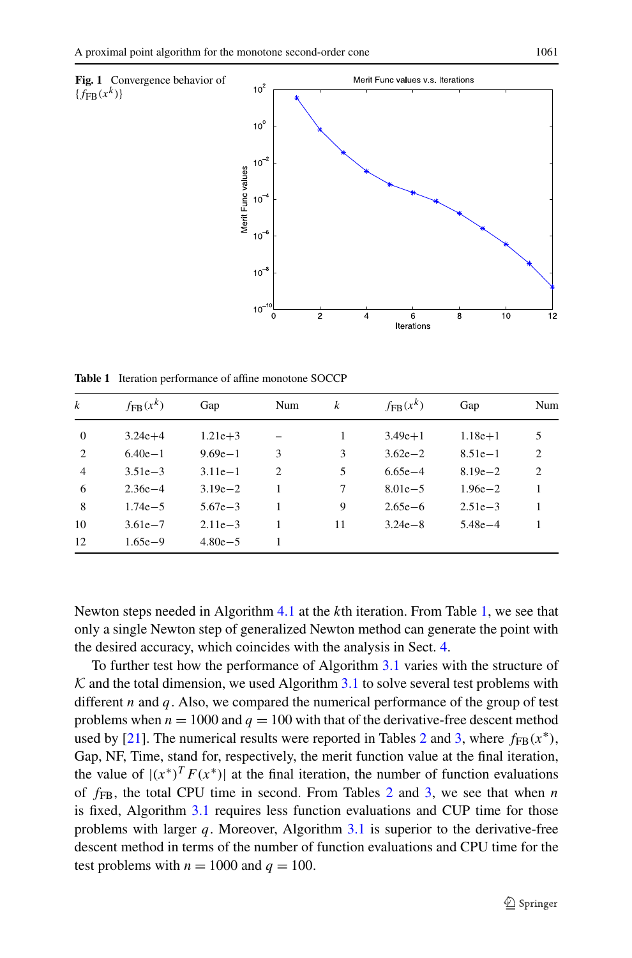<span id="page-24-0"></span>

<span id="page-24-1"></span>**Table 1** Iteration performance of affine monotone SOCCP

| $\boldsymbol{k}$ | $f_{\text{FB}}(x^k)$ | Gap         | Num            | k  | $f_{\text{FR}}(x^k)$ | Gap         | Num |
|------------------|----------------------|-------------|----------------|----|----------------------|-------------|-----|
| $\theta$         | $3.24e + 4$          | $1.21e+3$   |                |    | $3.49e+1$            | $1.18e + 1$ | 5   |
| 2                | $6.40e-1$            | $9.69e - 1$ | 3              | 3  | $3.62e - 2$          | $8.51e-1$   | 2   |
| $\overline{4}$   | $3.51e - 3$          | $3.11e-1$   | $\overline{c}$ | 5  | $6.65e - 4$          | $8.19e - 2$ | 2   |
| 6                | $2.36e - 4$          | $3.19e - 2$ |                | 7  | $8.01e - 5$          | $1.96e - 2$ | 1   |
| 8                | $1.74e - 5$          | $5.67e - 3$ |                | 9  | $2.65e - 6$          | $2.51e - 3$ | 1   |
| 10               | $3.61e - 7$          | $2.11e-3$   |                | 11 | $3.24e - 8$          | $5.48e - 4$ |     |
| 12               | $1.65e - 9$          | $4.80e - 5$ |                |    |                      |             |     |

Newton steps needed in Algorithm [4.1](#page-12-2) at the *k*th iteration. From Table [1](#page-24-1), we see that only a single Newton step of generalized Newton method can generate the point with the desired accuracy, which coincides with the analysis in Sect. [4](#page-12-0).

To further test how the performance of Algorithm [3.1](#page-10-0) varies with the structure of  $K$  and the total dimension, we used Algorithm [3.1](#page-10-0) to solve several test problems with different *n* and *q*. Also, we compared the numerical performance of the group of test problems when  $n = 1000$  and  $q = 100$  with that of the derivative-free descent method used by [\[21](#page-26-0)]. The numerical results were reported in Tables [2](#page-25-3) and [3](#page-25-4), where  $f_{FB}(x^*),$ Gap, NF, Time, stand for, respectively, the merit function value at the final iteration, the value of  $|(x^*)^T F(x^*)|$  at the final iteration, the number of function evaluations of *f*FB, the total CPU time in second. From Tables [2](#page-25-3) and [3](#page-25-4), we see that when *n* is fixed, Algorithm [3.1](#page-10-0) requires less function evaluations and CUP time for those problems with larger *q*. Moreover, Algorithm [3.1](#page-10-0) is superior to the derivative-free descent method in terms of the number of function evaluations and CPU time for the test problems with  $n = 1000$  and  $q = 100$ .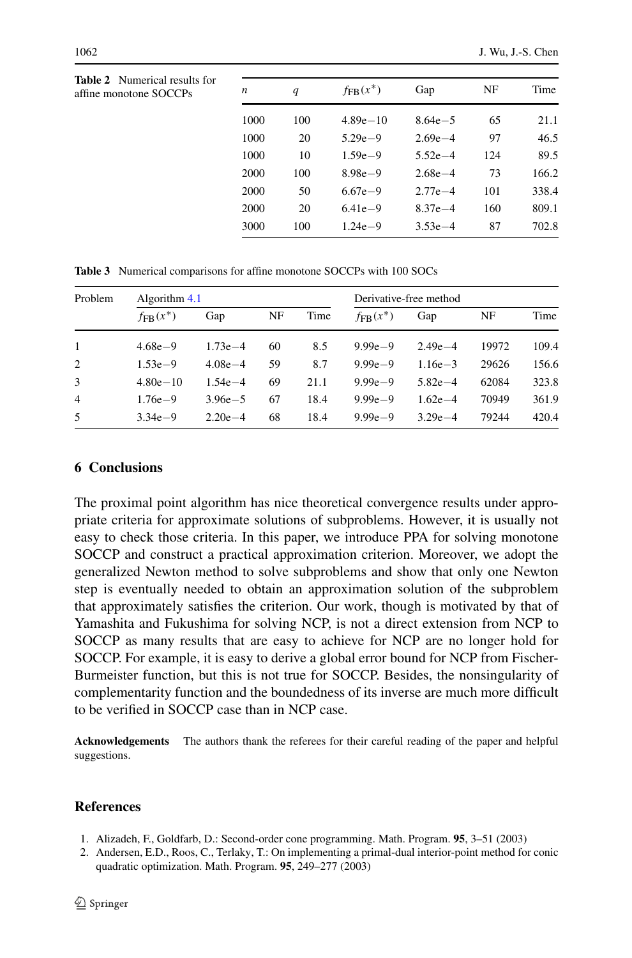<span id="page-25-4"></span><span id="page-25-3"></span>

| <b>Table 2</b> Numerical results for<br>affine monotone SOCCPs | n    | q   | $fFB(x^*)$   | Gap         | NF  | Time  |  |
|----------------------------------------------------------------|------|-----|--------------|-------------|-----|-------|--|
|                                                                | 1000 | 100 | $4.89e - 10$ | $8.64e - 5$ | 65  | 21.1  |  |
|                                                                | 1000 | 20  | $5.29e - 9$  | $2.69e - 4$ | 97  | 46.5  |  |
|                                                                | 1000 | 10  | $1.59e - 9$  | $5.52e - 4$ | 124 | 89.5  |  |
|                                                                | 2000 | 100 | $8.98e - 9$  | $2.68e - 4$ | 73  | 166.2 |  |
|                                                                | 2000 | 50  | $6.67e - 9$  | $2.77e - 4$ | 101 | 338.4 |  |
|                                                                | 2000 | 20  | $6.41e-9$    | $8.37e - 4$ | 160 | 809.1 |  |
|                                                                | 3000 | 100 | $1.24e - 9$  | $3.53e-4$   | 87  | 702.8 |  |
|                                                                |      |     |              |             |     |       |  |

**Table 3** Numerical comparisons for affine monotone SOCCPs with 100 SOCs

<span id="page-25-2"></span>

| Problem        | Algorithm $4.1$      |             |    |      | Derivative-free method |             |       |       |
|----------------|----------------------|-------------|----|------|------------------------|-------------|-------|-------|
|                | $f_{\text{FR}}(x^*)$ | Gap         | NF | Time | $f_{\text{FR}}(x^*)$   | Gap         | NF    | Time  |
| $\mathbf{1}$   | $4.68e - 9$          | $1.73e - 4$ | 60 | 8.5  | $9.99e - 9$            | $2.49e - 4$ | 19972 | 109.4 |
| 2              | $1.53e-9$            | $4.08e - 4$ | 59 | 8.7  | $9.99e - 9$            | $1.16e - 3$ | 29626 | 156.6 |
| 3              | $4.80e - 10$         | $1.54e - 4$ | 69 | 21.1 | $9.99e - 9$            | $5.82e - 4$ | 62084 | 323.8 |
| $\overline{4}$ | $1.76e - 9$          | $3.96e - 5$ | 67 | 18.4 | $9.99e - 9$            | $1.62e - 4$ | 70949 | 361.9 |
| 5              | $3.34e-9$            | $2.20e - 4$ | 68 | 18.4 | $9.99e - 9$            | $3.29e - 4$ | 79244 | 420.4 |

## **6 Conclusions**

The proximal point algorithm has nice theoretical convergence results under appropriate criteria for approximate solutions of subproblems. However, it is usually not easy to check those criteria. In this paper, we introduce PPA for solving monotone SOCCP and construct a practical approximation criterion. Moreover, we adopt the generalized Newton method to solve subproblems and show that only one Newton step is eventually needed to obtain an approximation solution of the subproblem that approximately satisfies the criterion. Our work, though is motivated by that of Yamashita and Fukushima for solving NCP, is not a direct extension from NCP to SOCCP as many results that are easy to achieve for NCP are no longer hold for SOCCP. For example, it is easy to derive a global error bound for NCP from Fischer-Burmeister function, but this is not true for SOCCP. Besides, the nonsingularity of complementarity function and the boundedness of its inverse are much more difficult to be verified in SOCCP case than in NCP case.

<span id="page-25-1"></span><span id="page-25-0"></span>**Acknowledgements** The authors thank the referees for their careful reading of the paper and helpful suggestions.

## **References**

- 1. Alizadeh, F., Goldfarb, D.: Second-order cone programming. Math. Program. **95**, 3–51 (2003)
- 2. Andersen, E.D., Roos, C., Terlaky, T.: On implementing a primal-dual interior-point method for conic quadratic optimization. Math. Program. **95**, 249–277 (2003)